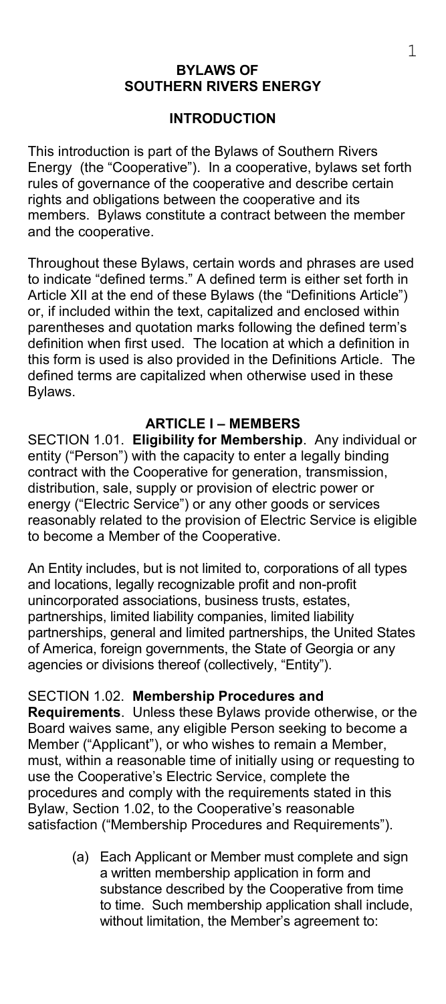#### **BYLAWS OF SOUTHERN RIVERS ENERGY**

#### **INTRODUCTION**

This introduction is part of the Bylaws of Southern Rivers Energy (the "Cooperative"). In a cooperative, bylaws set forth rules of governance of the cooperative and describe certain rights and obligations between the cooperative and its members. Bylaws constitute a contract between the member and the cooperative.

Throughout these Bylaws, certain words and phrases are used to indicate "defined terms." A defined term is either set forth in Article XII at the end of these Bylaws (the "Definitions Article") or, if included within the text, capitalized and enclosed within parentheses and quotation marks following the defined term's definition when first used. The location at which a definition in this form is used is also provided in the Definitions Article. The defined terms are capitalized when otherwise used in these Bylaws.

#### **ARTICLE I – MEMBERS**

SECTION 1.01. **Eligibility for Membership**. Any individual or entity ("Person") with the capacity to enter a legally binding contract with the Cooperative for generation, transmission, distribution, sale, supply or provision of electric power or energy ("Electric Service") or any other goods or services reasonably related to the provision of Electric Service is eligible to become a Member of the Cooperative.

An Entity includes, but is not limited to, corporations of all types and locations, legally recognizable profit and non-profit unincorporated associations, business trusts, estates, partnerships, limited liability companies, limited liability partnerships, general and limited partnerships, the United States of America, foreign governments, the State of Georgia or any agencies or divisions thereof (collectively, "Entity").

#### SECTION 1.02. **Membership Procedures and**

**Requirements**. Unless these Bylaws provide otherwise, or the Board waives same, any eligible Person seeking to become a Member ("Applicant"), or who wishes to remain a Member, must, within a reasonable time of initially using or requesting to use the Cooperative's Electric Service, complete the procedures and comply with the requirements stated in this Bylaw, Section 1.02, to the Cooperative's reasonable satisfaction ("Membership Procedures and Requirements").

> (a) Each Applicant or Member must complete and sign a written membership application in form and substance described by the Cooperative from time to time. Such membership application shall include, without limitation, the Member's agreement to: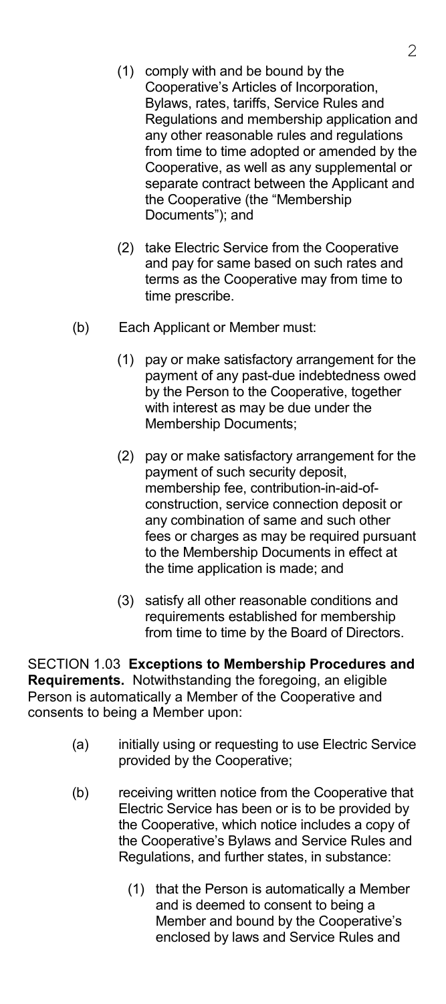- (1) comply with and be bound by the Cooperative's Articles of Incorporation, Bylaws, rates, tariffs, Service Rules and Regulations and membership application and any other reasonable rules and regulations from time to time adopted or amended by the Cooperative, as well as any supplemental or separate contract between the Applicant and the Cooperative (the "Membership Documents"); and
- (2) take Electric Service from the Cooperative and pay for same based on such rates and terms as the Cooperative may from time to time prescribe.
- (b) Each Applicant or Member must:
	- (1) pay or make satisfactory arrangement for the payment of any past-due indebtedness owed by the Person to the Cooperative, together with interest as may be due under the Membership Documents;
	- (2) pay or make satisfactory arrangement for the payment of such security deposit, membership fee, contribution-in-aid-ofconstruction, service connection deposit or any combination of same and such other fees or charges as may be required pursuant to the Membership Documents in effect at the time application is made; and
	- (3) satisfy all other reasonable conditions and requirements established for membership from time to time by the Board of Directors.

SECTION 1.03 **Exceptions to Membership Procedures and Requirements.** Notwithstanding the foregoing, an eligible Person is automatically a Member of the Cooperative and consents to being a Member upon:

- (a) initially using or requesting to use Electric Service provided by the Cooperative;
- (b) receiving written notice from the Cooperative that Electric Service has been or is to be provided by the Cooperative, which notice includes a copy of the Cooperative's Bylaws and Service Rules and Regulations, and further states, in substance:
	- (1) that the Person is automatically a Member and is deemed to consent to being a Member and bound by the Cooperative's enclosed by laws and Service Rules and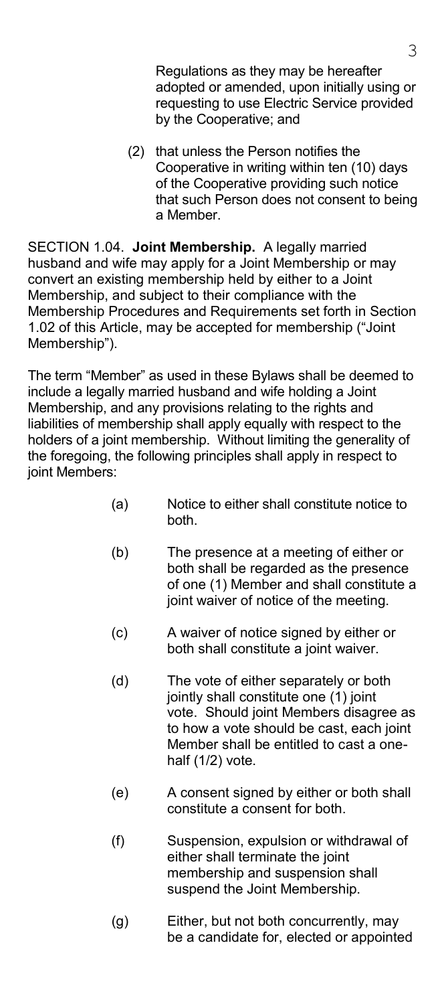Regulations as they may be hereafter adopted or amended, upon initially using or requesting to use Electric Service provided by the Cooperative; and

(2) that unless the Person notifies the Cooperative in writing within ten (10) days of the Cooperative providing such notice that such Person does not consent to being a Member.

SECTION 1.04. **Joint Membership.** A legally married husband and wife may apply for a Joint Membership or may convert an existing membership held by either to a Joint Membership, and subject to their compliance with the Membership Procedures and Requirements set forth in Section 1.02 of this Article, may be accepted for membership ("Joint Membership").

The term "Member" as used in these Bylaws shall be deemed to include a legally married husband and wife holding a Joint Membership, and any provisions relating to the rights and liabilities of membership shall apply equally with respect to the holders of a joint membership. Without limiting the generality of the foregoing, the following principles shall apply in respect to joint Members:

- (a) Notice to either shall constitute notice to both.
- (b) The presence at a meeting of either or both shall be regarded as the presence of one (1) Member and shall constitute a joint waiver of notice of the meeting.
- (c) A waiver of notice signed by either or both shall constitute a joint waiver.
- (d) The vote of either separately or both jointly shall constitute one (1) joint vote. Should joint Members disagree as to how a vote should be cast, each joint Member shall be entitled to cast a onehalf (1/2) vote.
- (e) A consent signed by either or both shall constitute a consent for both.
- (f) Suspension, expulsion or withdrawal of either shall terminate the joint membership and suspension shall suspend the Joint Membership.
- (g) Either, but not both concurrently, may be a candidate for, elected or appointed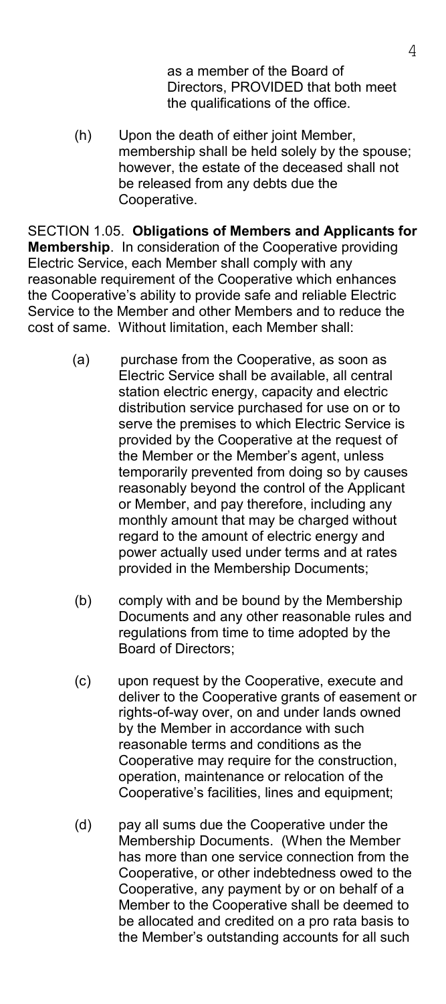as a member of the Board of Directors, PROVIDED that both meet the qualifications of the office.

 (h) Upon the death of either joint Member, membership shall be held solely by the spouse; however, the estate of the deceased shall not be released from any debts due the Cooperative.

SECTION 1.05. **Obligations of Members and Applicants for Membership**. In consideration of the Cooperative providing Electric Service, each Member shall comply with any reasonable requirement of the Cooperative which enhances the Cooperative's ability to provide safe and reliable Electric Service to the Member and other Members and to reduce the cost of same. Without limitation, each Member shall:

- (a) purchase from the Cooperative, as soon as Electric Service shall be available, all central station electric energy, capacity and electric distribution service purchased for use on or to serve the premises to which Electric Service is provided by the Cooperative at the request of the Member or the Member's agent, unless temporarily prevented from doing so by causes reasonably beyond the control of the Applicant or Member, and pay therefore, including any monthly amount that may be charged without regard to the amount of electric energy and power actually used under terms and at rates provided in the Membership Documents;
- (b) comply with and be bound by the Membership Documents and any other reasonable rules and regulations from time to time adopted by the Board of Directors;
- (c) upon request by the Cooperative, execute and deliver to the Cooperative grants of easement or rights-of-way over, on and under lands owned by the Member in accordance with such reasonable terms and conditions as the Cooperative may require for the construction, operation, maintenance or relocation of the Cooperative's facilities, lines and equipment;
- (d) pay all sums due the Cooperative under the Membership Documents. (When the Member has more than one service connection from the Cooperative, or other indebtedness owed to the Cooperative, any payment by or on behalf of a Member to the Cooperative shall be deemed to be allocated and credited on a pro rata basis to the Member's outstanding accounts for all such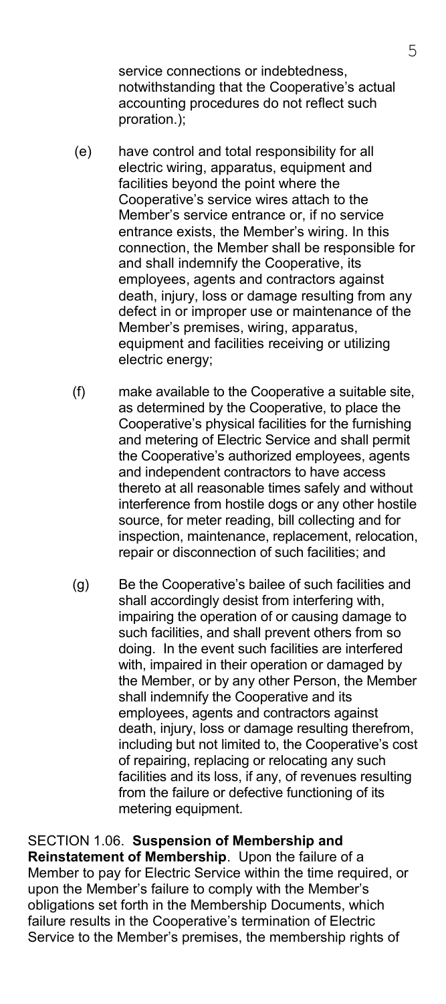service connections or indebtedness, notwithstanding that the Cooperative's actual accounting procedures do not reflect such proration.);

- (e) have control and total responsibility for all electric wiring, apparatus, equipment and facilities beyond the point where the Cooperative's service wires attach to the Member's service entrance or, if no service entrance exists, the Member's wiring. In this connection, the Member shall be responsible for and shall indemnify the Cooperative, its employees, agents and contractors against death, injury, loss or damage resulting from any defect in or improper use or maintenance of the Member's premises, wiring, apparatus, equipment and facilities receiving or utilizing electric energy;
- (f) make available to the Cooperative a suitable site, as determined by the Cooperative, to place the Cooperative's physical facilities for the furnishing and metering of Electric Service and shall permit the Cooperative's authorized employees, agents and independent contractors to have access thereto at all reasonable times safely and without interference from hostile dogs or any other hostile source, for meter reading, bill collecting and for inspection, maintenance, replacement, relocation, repair or disconnection of such facilities; and
- (g) Be the Cooperative's bailee of such facilities and shall accordingly desist from interfering with, impairing the operation of or causing damage to such facilities, and shall prevent others from so doing. In the event such facilities are interfered with, impaired in their operation or damaged by the Member, or by any other Person, the Member shall indemnify the Cooperative and its employees, agents and contractors against death, injury, loss or damage resulting therefrom, including but not limited to, the Cooperative's cost of repairing, replacing or relocating any such facilities and its loss, if any, of revenues resulting from the failure or defective functioning of its metering equipment.

SECTION 1.06. **Suspension of Membership and Reinstatement of Membership**. Upon the failure of a Member to pay for Electric Service within the time required, or upon the Member's failure to comply with the Member's obligations set forth in the Membership Documents, which failure results in the Cooperative's termination of Electric Service to the Member's premises, the membership rights of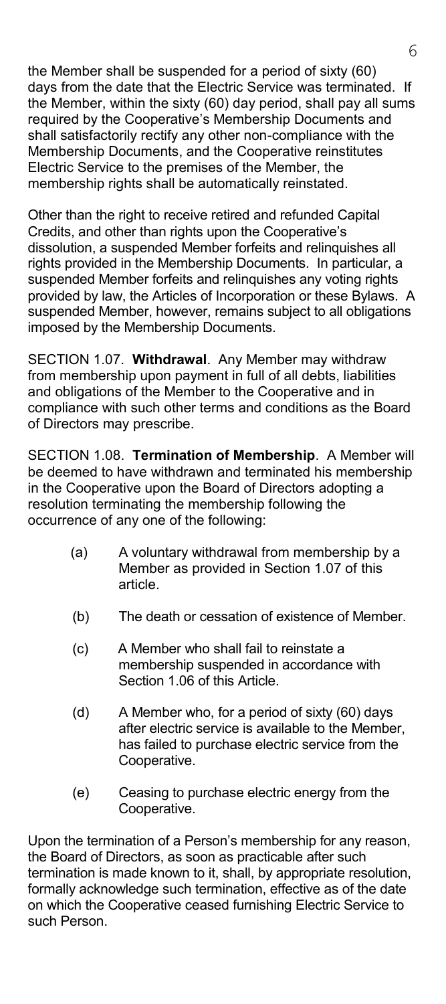the Member shall be suspended for a period of sixty (60) days from the date that the Electric Service was terminated. If the Member, within the sixty (60) day period, shall pay all sums required by the Cooperative's Membership Documents and shall satisfactorily rectify any other non-compliance with the Membership Documents, and the Cooperative reinstitutes Electric Service to the premises of the Member, the membership rights shall be automatically reinstated.

Other than the right to receive retired and refunded Capital Credits, and other than rights upon the Cooperative's dissolution, a suspended Member forfeits and relinquishes all rights provided in the Membership Documents. In particular, a suspended Member forfeits and relinquishes any voting rights provided by law, the Articles of Incorporation or these Bylaws. A suspended Member, however, remains subject to all obligations imposed by the Membership Documents.

SECTION 1.07. **Withdrawal**. Any Member may withdraw from membership upon payment in full of all debts, liabilities and obligations of the Member to the Cooperative and in compliance with such other terms and conditions as the Board of Directors may prescribe.

SECTION 1.08. **Termination of Membership**. A Member will be deemed to have withdrawn and terminated his membership in the Cooperative upon the Board of Directors adopting a resolution terminating the membership following the occurrence of any one of the following:

- (a) A voluntary withdrawal from membership by a Member as provided in Section 1.07 of this article.
- (b) The death or cessation of existence of Member.
- (c) A Member who shall fail to reinstate a membership suspended in accordance with Section 1.06 of this Article.
- (d) A Member who, for a period of sixty (60) days after electric service is available to the Member, has failed to purchase electric service from the Cooperative.
- (e) Ceasing to purchase electric energy from the Cooperative.

Upon the termination of a Person's membership for any reason, the Board of Directors, as soon as practicable after such termination is made known to it, shall, by appropriate resolution, formally acknowledge such termination, effective as of the date on which the Cooperative ceased furnishing Electric Service to such Person.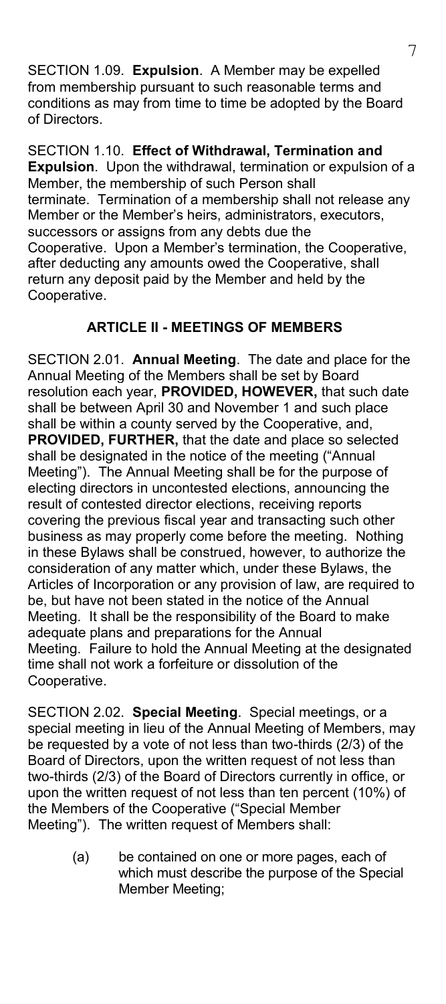SECTION 1.09. **Expulsion**. A Member may be expelled from membership pursuant to such reasonable terms and conditions as may from time to time be adopted by the Board of Directors.

SECTION 1.10. **Effect of Withdrawal, Termination and Expulsion**. Upon the withdrawal, termination or expulsion of a Member, the membership of such Person shall terminate. Termination of a membership shall not release any Member or the Member's heirs, administrators, executors, successors or assigns from any debts due the Cooperative. Upon a Member's termination, the Cooperative, after deducting any amounts owed the Cooperative, shall return any deposit paid by the Member and held by the Cooperative.

### **ARTICLE II - MEETINGS OF MEMBERS**

SECTION 2.01. **Annual Meeting**. The date and place for the Annual Meeting of the Members shall be set by Board resolution each year, **PROVIDED, HOWEVER,** that such date shall be between April 30 and November 1 and such place shall be within a county served by the Cooperative, and, **PROVIDED, FURTHER,** that the date and place so selected shall be designated in the notice of the meeting ("Annual Meeting"). The Annual Meeting shall be for the purpose of electing directors in uncontested elections, announcing the result of contested director elections, receiving reports covering the previous fiscal year and transacting such other business as may properly come before the meeting. Nothing in these Bylaws shall be construed, however, to authorize the consideration of any matter which, under these Bylaws, the Articles of Incorporation or any provision of law, are required to be, but have not been stated in the notice of the Annual Meeting. It shall be the responsibility of the Board to make adequate plans and preparations for the Annual Meeting. Failure to hold the Annual Meeting at the designated time shall not work a forfeiture or dissolution of the Cooperative.

SECTION 2.02. **Special Meeting**. Special meetings, or a special meeting in lieu of the Annual Meeting of Members, may be requested by a vote of not less than two-thirds (2/3) of the Board of Directors, upon the written request of not less than two-thirds (2/3) of the Board of Directors currently in office, or upon the written request of not less than ten percent (10%) of the Members of the Cooperative ("Special Member Meeting"). The written request of Members shall:

> (a) be contained on one or more pages, each of which must describe the purpose of the Special Member Meeting;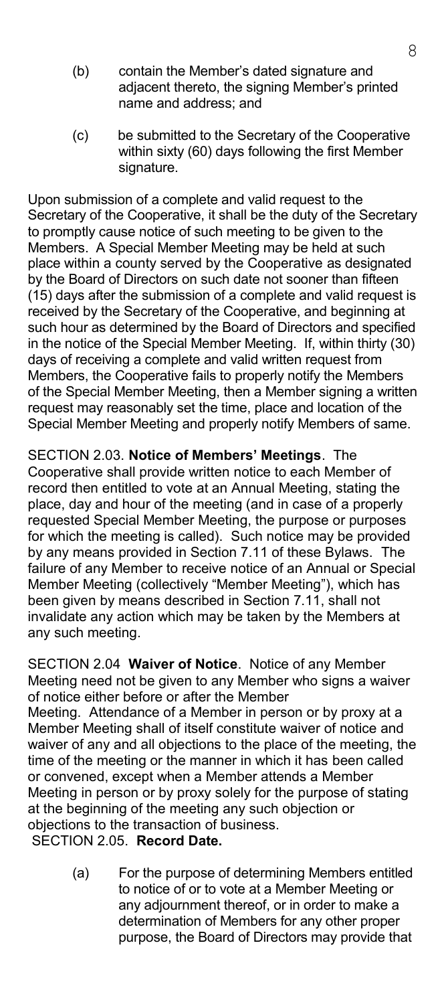- (b) contain the Member's dated signature and adjacent thereto, the signing Member's printed name and address; and
- (c) be submitted to the Secretary of the Cooperative within sixty (60) days following the first Member signature.

Upon submission of a complete and valid request to the Secretary of the Cooperative, it shall be the duty of the Secretary to promptly cause notice of such meeting to be given to the Members. A Special Member Meeting may be held at such place within a county served by the Cooperative as designated by the Board of Directors on such date not sooner than fifteen (15) days after the submission of a complete and valid request is received by the Secretary of the Cooperative, and beginning at such hour as determined by the Board of Directors and specified in the notice of the Special Member Meeting. If, within thirty (30) days of receiving a complete and valid written request from Members, the Cooperative fails to properly notify the Members of the Special Member Meeting, then a Member signing a written request may reasonably set the time, place and location of the Special Member Meeting and properly notify Members of same.

SECTION 2.03. **Notice of Members' Meetings**. The Cooperative shall provide written notice to each Member of record then entitled to vote at an Annual Meeting, stating the place, day and hour of the meeting (and in case of a properly requested Special Member Meeting, the purpose or purposes for which the meeting is called). Such notice may be provided by any means provided in Section 7.11 of these Bylaws. The failure of any Member to receive notice of an Annual or Special Member Meeting (collectively "Member Meeting"), which has been given by means described in Section 7.11, shall not invalidate any action which may be taken by the Members at any such meeting.

SECTION 2.04 **Waiver of Notice**. Notice of any Member Meeting need not be given to any Member who signs a waiver of notice either before or after the Member Meeting. Attendance of a Member in person or by proxy at a Member Meeting shall of itself constitute waiver of notice and waiver of any and all objections to the place of the meeting, the time of the meeting or the manner in which it has been called or convened, except when a Member attends a Member Meeting in person or by proxy solely for the purpose of stating at the beginning of the meeting any such objection or objections to the transaction of business.

SECTION 2.05. **Record Date.**

 (a) For the purpose of determining Members entitled to notice of or to vote at a Member Meeting or any adjournment thereof, or in order to make a determination of Members for any other proper purpose, the Board of Directors may provide that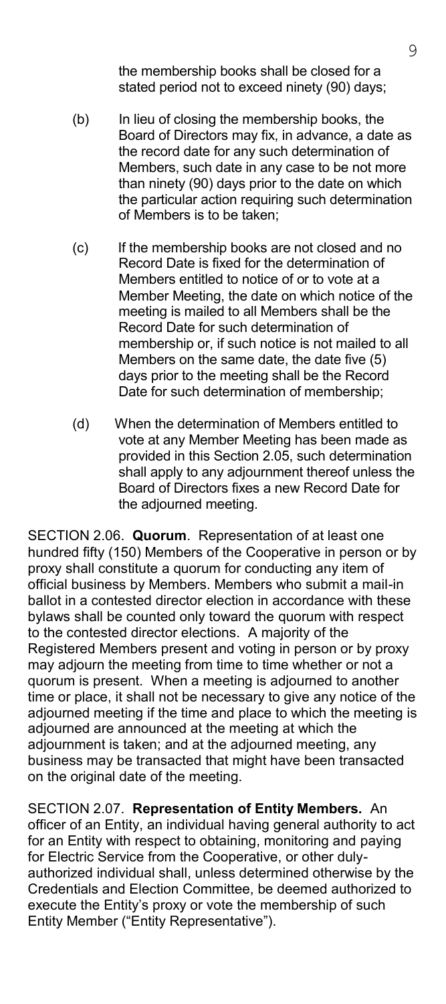the membership books shall be closed for a stated period not to exceed ninety (90) days;

- (b) In lieu of closing the membership books, the Board of Directors may fix, in advance, a date as the record date for any such determination of Members, such date in any case to be not more than ninety (90) days prior to the date on which the particular action requiring such determination of Members is to be taken;
- (c) If the membership books are not closed and no Record Date is fixed for the determination of Members entitled to notice of or to vote at a Member Meeting, the date on which notice of the meeting is mailed to all Members shall be the Record Date for such determination of membership or, if such notice is not mailed to all Members on the same date, the date five (5) days prior to the meeting shall be the Record Date for such determination of membership;
- (d) When the determination of Members entitled to vote at any Member Meeting has been made as provided in this Section 2.05, such determination shall apply to any adjournment thereof unless the Board of Directors fixes a new Record Date for the adjourned meeting.

SECTION 2.06. **Quorum**. Representation of at least one hundred fifty (150) Members of the Cooperative in person or by proxy shall constitute a quorum for conducting any item of official business by Members. Members who submit a mail-in ballot in a contested director election in accordance with these bylaws shall be counted only toward the quorum with respect to the contested director elections. A majority of the Registered Members present and voting in person or by proxy may adjourn the meeting from time to time whether or not a quorum is present. When a meeting is adjourned to another time or place, it shall not be necessary to give any notice of the adjourned meeting if the time and place to which the meeting is adjourned are announced at the meeting at which the adjournment is taken; and at the adjourned meeting, any business may be transacted that might have been transacted on the original date of the meeting.

SECTION 2.07. **Representation of Entity Members.** An officer of an Entity, an individual having general authority to act for an Entity with respect to obtaining, monitoring and paying for Electric Service from the Cooperative, or other dulyauthorized individual shall, unless determined otherwise by the Credentials and Election Committee, be deemed authorized to execute the Entity's proxy or vote the membership of such Entity Member ("Entity Representative").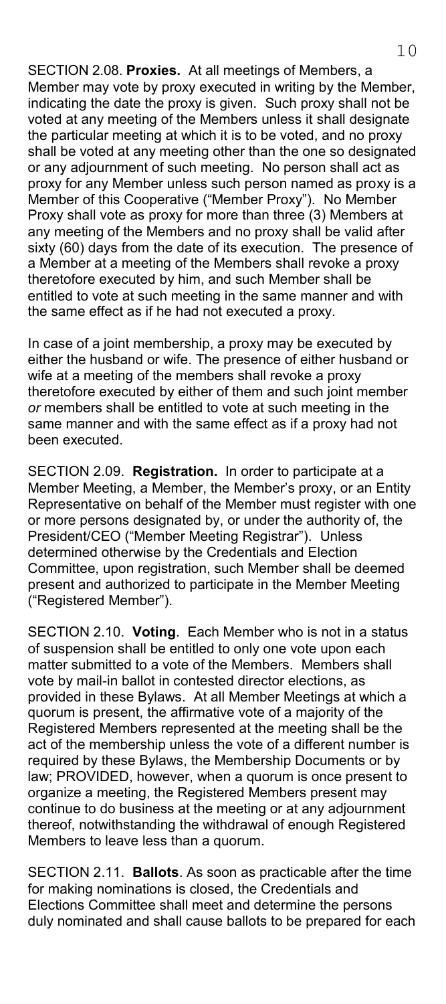SECTION 2.08. **Proxies.** At all meetings of Members, a Member may vote by proxy executed in writing by the Member, indicating the date the proxy is given. Such proxy shall not be voted at any meeting of the Members unless it shall designate the particular meeting at which it is to be voted, and no proxy shall be voted at any meeting other than the one so designated or any adjournment of such meeting. No person shall act as proxy for any Member unless such person named as proxy is a Member of this Cooperative ("Member Proxy"). No Member Proxy shall vote as proxy for more than three (3) Members at any meeting of the Members and no proxy shall be valid after sixty (60) days from the date of its execution. The presence of a Member at a meeting of the Members shall revoke a proxy theretofore executed by him, and such Member shall be entitled to vote at such meeting in the same manner and with the same effect as if he had not executed a proxy.

In case of a joint membership, a proxy may be executed by either the husband or wife. The presence of either husband or wife at a meeting of the members shall revoke a proxy theretofore executed by either of them and such joint member *or* members shall be entitled to vote at such meeting in the same manner and with the same effect as if a proxy had not been executed.

SECTION 2.09. **Registration.** In order to participate at a Member Meeting, a Member, the Member's proxy, or an Entity Representative on behalf of the Member must register with one or more persons designated by, or under the authority of, the President/CEO ("Member Meeting Registrar"). Unless determined otherwise by the Credentials and Election Committee, upon registration, such Member shall be deemed present and authorized to participate in the Member Meeting ("Registered Member").

SECTION 2.10. **Voting**. Each Member who is not in a status of suspension shall be entitled to only one vote upon each matter submitted to a vote of the Members. Members shall vote by mail-in ballot in contested director elections, as provided in these Bylaws. At all Member Meetings at which a quorum is present, the affirmative vote of a majority of the Registered Members represented at the meeting shall be the act of the membership unless the vote of a different number is required by these Bylaws, the Membership Documents or by law; PROVIDED, however, when a quorum is once present to organize a meeting, the Registered Members present may continue to do business at the meeting or at any adjournment thereof, notwithstanding the withdrawal of enough Registered Members to leave less than a quorum.

SECTION 2.11. **Ballots**. As soon as practicable after the time for making nominations is closed, the Credentials and Elections Committee shall meet and determine the persons duly nominated and shall cause ballots to be prepared for each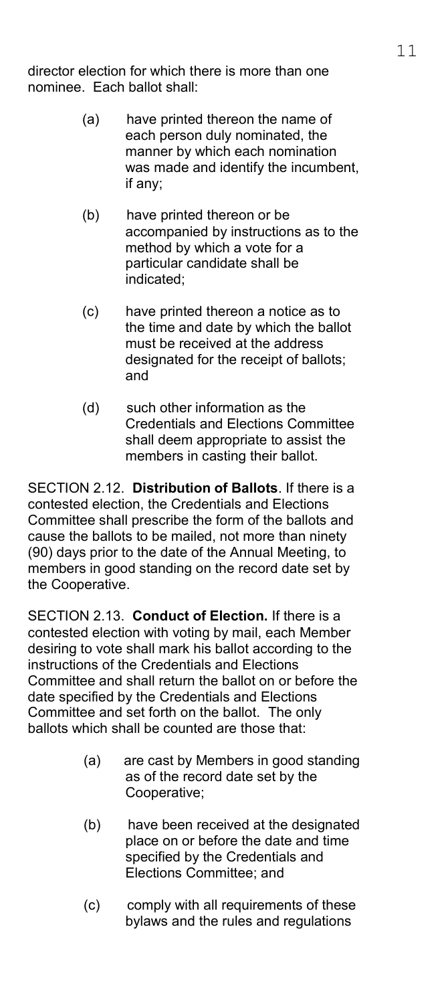director election for which there is more than one nominee. Each ballot shall:

- (a) have printed thereon the name of each person duly nominated, the manner by which each nomination was made and identify the incumbent, if any;
- (b) have printed thereon or be accompanied by instructions as to the method by which a vote for a particular candidate shall be indicated;
- (c) have printed thereon a notice as to the time and date by which the ballot must be received at the address designated for the receipt of ballots; and
- (d) such other information as the Credentials and Elections Committee shall deem appropriate to assist the members in casting their ballot.

SECTION 2.12. **Distribution of Ballots**. If there is a contested election, the Credentials and Elections Committee shall prescribe the form of the ballots and cause the ballots to be mailed, not more than ninety (90) days prior to the date of the Annual Meeting, to members in good standing on the record date set by the Cooperative.

SECTION 2.13. **Conduct of Election.** If there is a contested election with voting by mail, each Member desiring to vote shall mark his ballot according to the instructions of the Credentials and Elections Committee and shall return the ballot on or before the date specified by the Credentials and Elections Committee and set forth on the ballot. The only ballots which shall be counted are those that:

- (a) are cast by Members in good standing as of the record date set by the Cooperative;
- (b) have been received at the designated place on or before the date and time specified by the Credentials and Elections Committee; and
- (c) comply with all requirements of these bylaws and the rules and regulations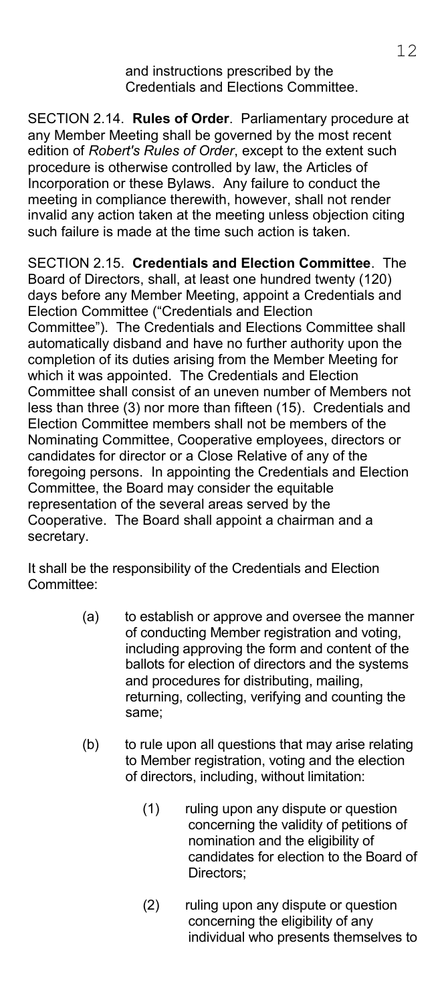and instructions prescribed by the Credentials and Elections Committee.

SECTION 2.14. **Rules of Order**. Parliamentary procedure at any Member Meeting shall be governed by the most recent edition of *Robert's Rules of Order*, except to the extent such procedure is otherwise controlled by law, the Articles of Incorporation or these Bylaws. Any failure to conduct the meeting in compliance therewith, however, shall not render invalid any action taken at the meeting unless objection citing such failure is made at the time such action is taken.

SECTION 2.15. **Credentials and Election Committee**. The Board of Directors, shall, at least one hundred twenty (120) days before any Member Meeting, appoint a Credentials and Election Committee ("Credentials and Election Committee"). The Credentials and Elections Committee shall automatically disband and have no further authority upon the completion of its duties arising from the Member Meeting for which it was appointed. The Credentials and Election Committee shall consist of an uneven number of Members not less than three (3) nor more than fifteen (15). Credentials and Election Committee members shall not be members of the Nominating Committee, Cooperative employees, directors or candidates for director or a Close Relative of any of the foregoing persons. In appointing the Credentials and Election Committee, the Board may consider the equitable representation of the several areas served by the Cooperative. The Board shall appoint a chairman and a secretary.

It shall be the responsibility of the Credentials and Election Committee:

- (a) to establish or approve and oversee the manner of conducting Member registration and voting, including approving the form and content of the ballots for election of directors and the systems and procedures for distributing, mailing, returning, collecting, verifying and counting the same;
- (b) to rule upon all questions that may arise relating to Member registration, voting and the election of directors, including, without limitation:
	- (1) ruling upon any dispute or question concerning the validity of petitions of nomination and the eligibility of candidates for election to the Board of Directors;
	- (2) ruling upon any dispute or question concerning the eligibility of any individual who presents themselves to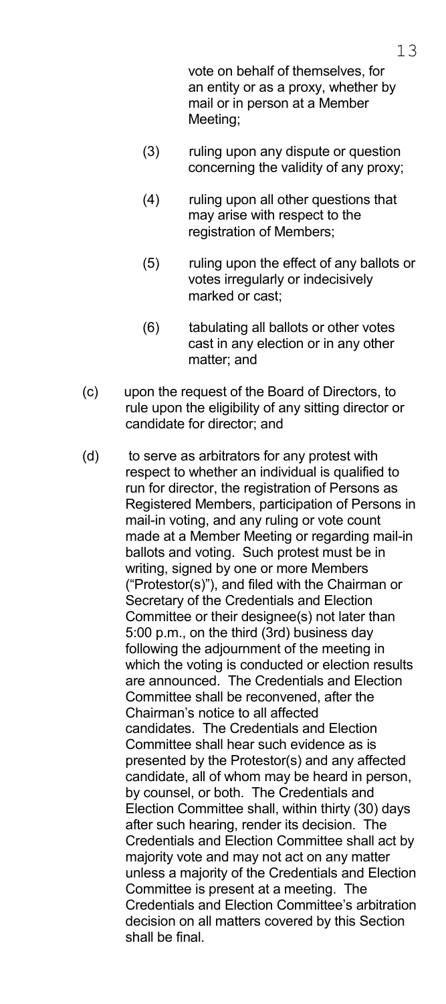vote on behalf of themselves, for an entity or as a proxy, whether by mail or in person at a Member Meeting;

- (3) ruling upon any dispute or question concerning the validity of any proxy;
- (4) ruling upon all other questions that may arise with respect to the registration of Members;
- (5) ruling upon the effect of any ballots or votes irregularly or indecisively marked or cast;
- (6) tabulating all ballots or other votes cast in any election or in any other matter; and
- (c) upon the request of the Board of Directors, to rule upon the eligibility of any sitting director or candidate for director; and
- (d) to serve as arbitrators for any protest with respect to whether an individual is qualified to run for director, the registration of Persons as Registered Members, participation of Persons in mail-in voting, and any ruling or vote count made at a Member Meeting or regarding mail-in ballots and voting. Such protest must be in writing, signed by one or more Members ("Protestor(s)"), and filed with the Chairman or Secretary of the Credentials and Election Committee or their designee(s) not later than 5:00 p.m., on the third (3rd) business day following the adjournment of the meeting in which the voting is conducted or election results are announced. The Credentials and Election Committee shall be reconvened, after the Chairman's notice to all affected candidates. The Credentials and Election Committee shall hear such evidence as is presented by the Protestor(s) and any affected candidate, all of whom may be heard in person, by counsel, or both. The Credentials and Election Committee shall, within thirty (30) days after such hearing, render its decision. The Credentials and Election Committee shall act by majority vote and may not act on any matter unless a majority of the Credentials and Election Committee is present at a meeting. The Credentials and Election Committee's arbitration decision on all matters covered by this Section shall be final.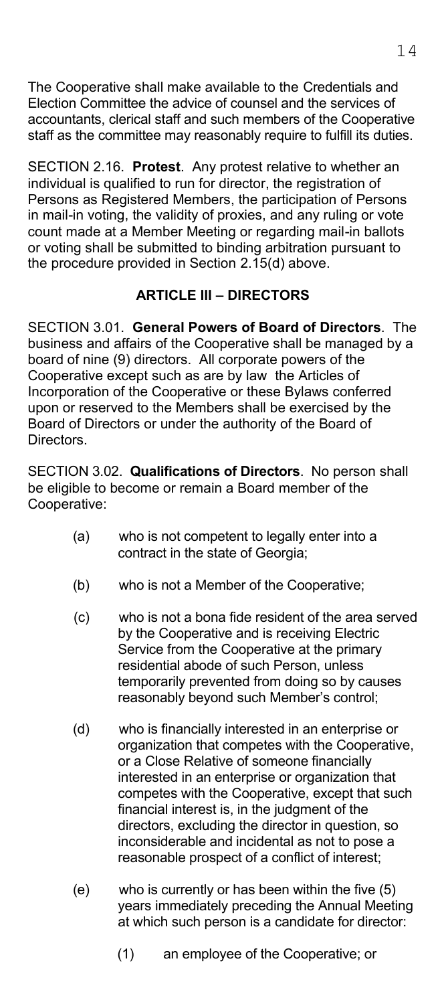The Cooperative shall make available to the Credentials and Election Committee the advice of counsel and the services of accountants, clerical staff and such members of the Cooperative staff as the committee may reasonably require to fulfill its duties.

SECTION 2.16. **Protest**. Any protest relative to whether an individual is qualified to run for director, the registration of Persons as Registered Members, the participation of Persons in mail-in voting, the validity of proxies, and any ruling or vote count made at a Member Meeting or regarding mail-in ballots or voting shall be submitted to binding arbitration pursuant to the procedure provided in Section 2.15(d) above.

### **ARTICLE III – DIRECTORS**

SECTION 3.01. **General Powers of Board of Directors**. The business and affairs of the Cooperative shall be managed by a board of nine (9) directors. All corporate powers of the Cooperative except such as are by law the Articles of Incorporation of the Cooperative or these Bylaws conferred upon or reserved to the Members shall be exercised by the Board of Directors or under the authority of the Board of Directors.

SECTION 3.02. **Qualifications of Directors**. No person shall be eligible to become or remain a Board member of the Cooperative:

- (a) who is not competent to legally enter into a contract in the state of Georgia;
- (b) who is not a Member of the Cooperative;
- (c) who is not a bona fide resident of the area served by the Cooperative and is receiving Electric Service from the Cooperative at the primary residential abode of such Person, unless temporarily prevented from doing so by causes reasonably beyond such Member's control;
- (d) who is financially interested in an enterprise or organization that competes with the Cooperative, or a Close Relative of someone financially interested in an enterprise or organization that competes with the Cooperative, except that such financial interest is, in the judgment of the directors, excluding the director in question, so inconsiderable and incidental as not to pose a reasonable prospect of a conflict of interest;
- (e) who is currently or has been within the five (5) years immediately preceding the Annual Meeting at which such person is a candidate for director:
	- (1) an employee of the Cooperative; or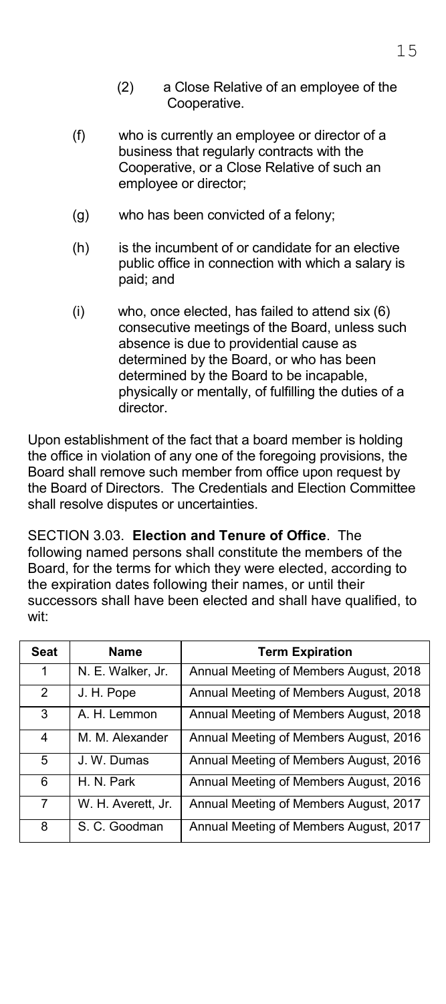- (f) who is currently an employee or director of a business that regularly contracts with the Cooperative, or a Close Relative of such an employee or director;
- (g) who has been convicted of a felony;
- (h) is the incumbent of or candidate for an elective public office in connection with which a salary is paid; and
- (i) who, once elected, has failed to attend six (6) consecutive meetings of the Board, unless such absence is due to providential cause as determined by the Board, or who has been determined by the Board to be incapable, physically or mentally, of fulfilling the duties of a director.

Upon establishment of the fact that a board member is holding the office in violation of any one of the foregoing provisions, the Board shall remove such member from office upon request by the Board of Directors. The Credentials and Election Committee shall resolve disputes or uncertainties.

SECTION 3.03. **Election and Tenure of Office**. The following named persons shall constitute the members of the Board, for the terms for which they were elected, according to the expiration dates following their names, or until their successors shall have been elected and shall have qualified, to wit:

| <b>Seat</b>    | <b>Name</b>        | <b>Term Expiration</b>                 |
|----------------|--------------------|----------------------------------------|
| 1              | N. E. Walker, Jr.  | Annual Meeting of Members August, 2018 |
| $\overline{2}$ | J. H. Pope         | Annual Meeting of Members August, 2018 |
| 3              | A. H. Lemmon       | Annual Meeting of Members August, 2018 |
| 4              | M. M. Alexander    | Annual Meeting of Members August, 2016 |
| 5              | J. W. Dumas        | Annual Meeting of Members August, 2016 |
| 6              | H. N. Park         | Annual Meeting of Members August, 2016 |
| 7              | W. H. Averett, Jr. | Annual Meeting of Members August, 2017 |
| 8              | S. C. Goodman      | Annual Meeting of Members August, 2017 |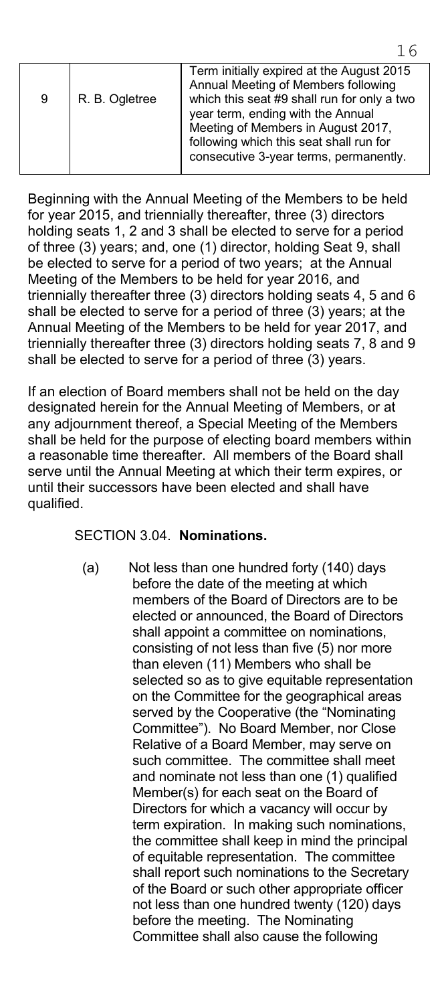|  | 9 | R. B. Ogletree | Term initially expired at the August 2015<br>Annual Meeting of Members following<br>which this seat #9 shall run for only a two<br>year term, ending with the Annual<br>Meeting of Members in August 2017,<br>following which this seat shall run for<br>consecutive 3-year terms, permanently. |
|--|---|----------------|-------------------------------------------------------------------------------------------------------------------------------------------------------------------------------------------------------------------------------------------------------------------------------------------------|
|--|---|----------------|-------------------------------------------------------------------------------------------------------------------------------------------------------------------------------------------------------------------------------------------------------------------------------------------------|

Beginning with the Annual Meeting of the Members to be held for year 2015, and triennially thereafter, three (3) directors holding seats 1, 2 and 3 shall be elected to serve for a period of three (3) years; and, one (1) director, holding Seat 9, shall be elected to serve for a period of two years; at the Annual Meeting of the Members to be held for year 2016, and triennially thereafter three (3) directors holding seats 4, 5 and 6 shall be elected to serve for a period of three (3) years; at the Annual Meeting of the Members to be held for year 2017, and triennially thereafter three (3) directors holding seats 7, 8 and 9 shall be elected to serve for a period of three (3) years.

If an election of Board members shall not be held on the day designated herein for the Annual Meeting of Members, or at any adjournment thereof, a Special Meeting of the Members shall be held for the purpose of electing board members within a reasonable time thereafter. All members of the Board shall serve until the Annual Meeting at which their term expires, or until their successors have been elected and shall have qualified.

#### SECTION 3.04. **Nominations.**

(a) Not less than one hundred forty (140) days before the date of the meeting at which members of the Board of Directors are to be elected or announced, the Board of Directors shall appoint a committee on nominations, consisting of not less than five (5) nor more than eleven (11) Members who shall be selected so as to give equitable representation on the Committee for the geographical areas served by the Cooperative (the "Nominating Committee"). No Board Member, nor Close Relative of a Board Member, may serve on such committee. The committee shall meet and nominate not less than one (1) qualified Member(s) for each seat on the Board of Directors for which a vacancy will occur by term expiration. In making such nominations, the committee shall keep in mind the principal of equitable representation. The committee shall report such nominations to the Secretary of the Board or such other appropriate officer not less than one hundred twenty (120) days before the meeting. The Nominating Committee shall also cause the following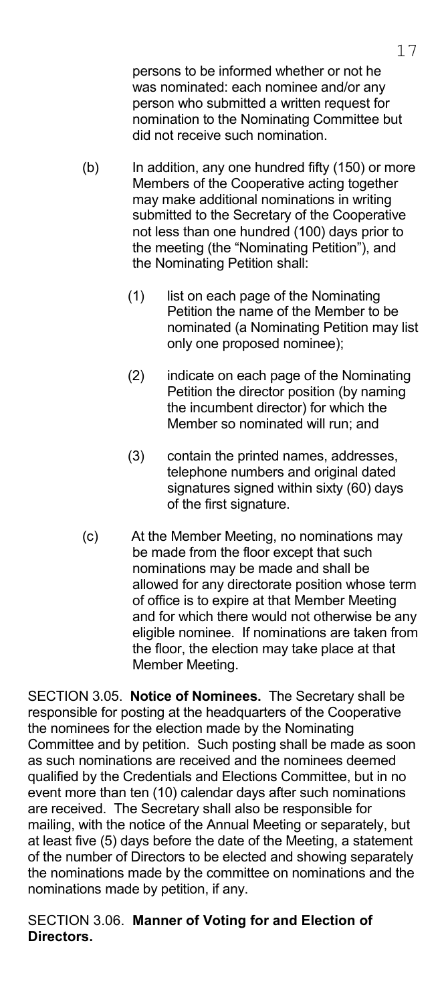persons to be informed whether or not he was nominated: each nominee and/or any person who submitted a written request for nomination to the Nominating Committee but did not receive such nomination.

- (b) In addition, any one hundred fifty (150) or more Members of the Cooperative acting together may make additional nominations in writing submitted to the Secretary of the Cooperative not less than one hundred (100) days prior to the meeting (the "Nominating Petition"), and the Nominating Petition shall:
	- (1) list on each page of the Nominating Petition the name of the Member to be nominated (a Nominating Petition may list only one proposed nominee);
	- (2) indicate on each page of the Nominating Petition the director position (by naming the incumbent director) for which the Member so nominated will run; and
	- (3) contain the printed names, addresses, telephone numbers and original dated signatures signed within sixty (60) days of the first signature.
- (c) At the Member Meeting, no nominations may be made from the floor except that such nominations may be made and shall be allowed for any directorate position whose term of office is to expire at that Member Meeting and for which there would not otherwise be any eligible nominee. If nominations are taken from the floor, the election may take place at that Member Meeting.

SECTION 3.05. **Notice of Nominees.** The Secretary shall be responsible for posting at the headquarters of the Cooperative the nominees for the election made by the Nominating Committee and by petition. Such posting shall be made as soon as such nominations are received and the nominees deemed qualified by the Credentials and Elections Committee, but in no event more than ten (10) calendar days after such nominations are received. The Secretary shall also be responsible for mailing, with the notice of the Annual Meeting or separately, but at least five (5) days before the date of the Meeting, a statement of the number of Directors to be elected and showing separately the nominations made by the committee on nominations and the nominations made by petition, if any.

SECTION 3.06. **Manner of Voting for and Election of Directors.**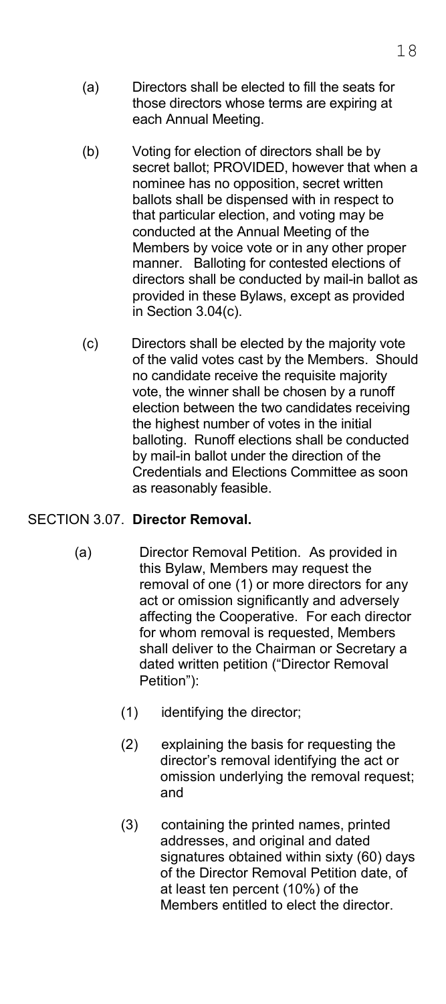- (a) Directors shall be elected to fill the seats for those directors whose terms are expiring at each Annual Meeting.
- (b) Voting for election of directors shall be by secret ballot; PROVIDED, however that when a nominee has no opposition, secret written ballots shall be dispensed with in respect to that particular election, and voting may be conducted at the Annual Meeting of the Members by voice vote or in any other proper manner. Balloting for contested elections of directors shall be conducted by mail-in ballot as provided in these Bylaws, except as provided in Section 3.04(c).
- (c) Directors shall be elected by the majority vote of the valid votes cast by the Members. Should no candidate receive the requisite majority vote, the winner shall be chosen by a runoff election between the two candidates receiving the highest number of votes in the initial balloting. Runoff elections shall be conducted by mail-in ballot under the direction of the Credentials and Elections Committee as soon as reasonably feasible.

#### SECTION 3.07. **Director Removal.**

- (a) Director Removal Petition. As provided in this Bylaw, Members may request the removal of one (1) or more directors for any act or omission significantly and adversely affecting the Cooperative. For each director for whom removal is requested, Members shall deliver to the Chairman or Secretary a dated written petition ("Director Removal Petition"):
	- (1) identifying the director;
	- (2) explaining the basis for requesting the director's removal identifying the act or omission underlying the removal request; and
	- (3) containing the printed names, printed addresses, and original and dated signatures obtained within sixty (60) days of the Director Removal Petition date, of at least ten percent (10%) of the Members entitled to elect the director.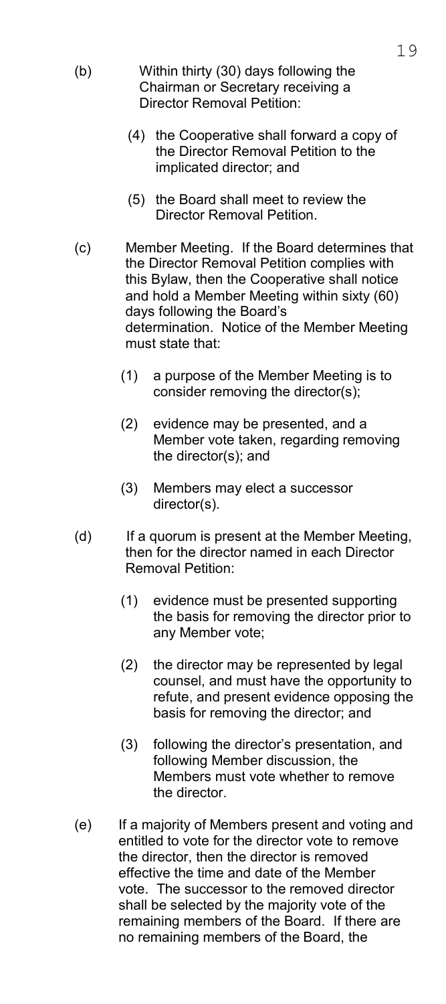- (b) Within thirty (30) days following the Chairman or Secretary receiving a Director Removal Petition:
	- (4) the Cooperative shall forward a copy of the Director Removal Petition to the implicated director; and
	- (5) the Board shall meet to review the Director Removal Petition.
- (c) Member Meeting. If the Board determines that the Director Removal Petition complies with this Bylaw, then the Cooperative shall notice and hold a Member Meeting within sixty (60) days following the Board's determination. Notice of the Member Meeting must state that:
	- (1) a purpose of the Member Meeting is to consider removing the director(s);
	- (2) evidence may be presented, and a Member vote taken, regarding removing the director(s); and
	- (3) Members may elect a successor director(s).
- (d) If a quorum is present at the Member Meeting, then for the director named in each Director Removal Petition:
	- (1) evidence must be presented supporting the basis for removing the director prior to any Member vote;
	- (2) the director may be represented by legal counsel, and must have the opportunity to refute, and present evidence opposing the basis for removing the director; and
	- (3) following the director's presentation, and following Member discussion, the Members must vote whether to remove the director.
- (e) If a majority of Members present and voting and entitled to vote for the director vote to remove the director, then the director is removed effective the time and date of the Member vote. The successor to the removed director shall be selected by the majority vote of the remaining members of the Board. If there are no remaining members of the Board, the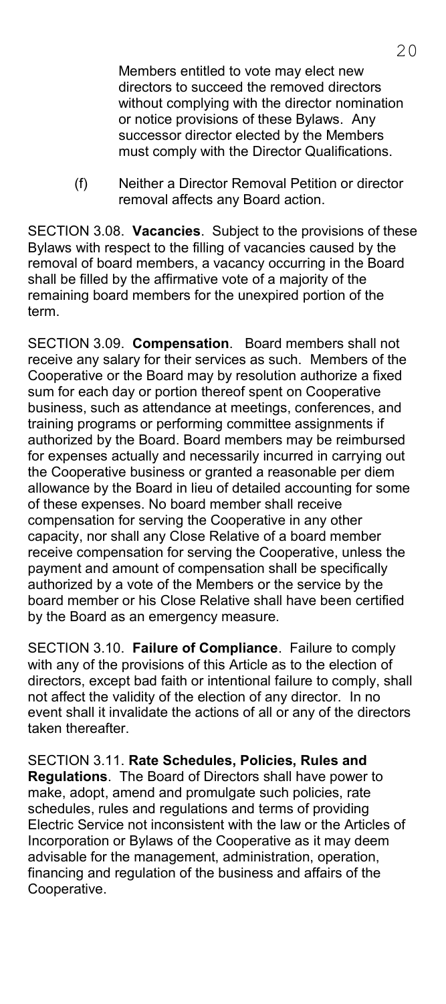Members entitled to vote may elect new directors to succeed the removed directors without complying with the director nomination or notice provisions of these Bylaws. Any successor director elected by the Members must comply with the Director Qualifications.

 (f) Neither a Director Removal Petition or director removal affects any Board action.

SECTION 3.08. **Vacancies**. Subject to the provisions of these Bylaws with respect to the filling of vacancies caused by the removal of board members, a vacancy occurring in the Board shall be filled by the affirmative vote of a majority of the remaining board members for the unexpired portion of the term.

SECTION 3.09. **Compensation**. Board members shall not receive any salary for their services as such. Members of the Cooperative or the Board may by resolution authorize a fixed sum for each day or portion thereof spent on Cooperative business, such as attendance at meetings, conferences, and training programs or performing committee assignments if authorized by the Board. Board members may be reimbursed for expenses actually and necessarily incurred in carrying out the Cooperative business or granted a reasonable per diem allowance by the Board in lieu of detailed accounting for some of these expenses. No board member shall receive compensation for serving the Cooperative in any other capacity, nor shall any Close Relative of a board member receive compensation for serving the Cooperative, unless the payment and amount of compensation shall be specifically authorized by a vote of the Members or the service by the board member or his Close Relative shall have been certified by the Board as an emergency measure.

SECTION 3.10. **Failure of Compliance**. Failure to comply with any of the provisions of this Article as to the election of directors, except bad faith or intentional failure to comply, shall not affect the validity of the election of any director. In no event shall it invalidate the actions of all or any of the directors taken thereafter.

SECTION 3.11. **Rate Schedules, Policies, Rules and Regulations**. The Board of Directors shall have power to make, adopt, amend and promulgate such policies, rate schedules, rules and regulations and terms of providing Electric Service not inconsistent with the law or the Articles of Incorporation or Bylaws of the Cooperative as it may deem advisable for the management, administration, operation, financing and regulation of the business and affairs of the Cooperative.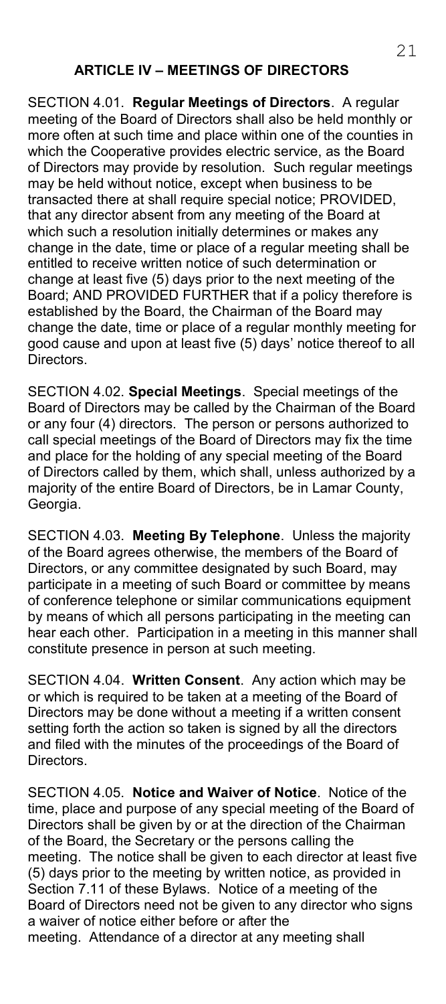SECTION 4.01. **Regular Meetings of Directors**. A regular meeting of the Board of Directors shall also be held monthly or more often at such time and place within one of the counties in which the Cooperative provides electric service, as the Board of Directors may provide by resolution. Such regular meetings may be held without notice, except when business to be transacted there at shall require special notice; PROVIDED, that any director absent from any meeting of the Board at which such a resolution initially determines or makes any change in the date, time or place of a regular meeting shall be entitled to receive written notice of such determination or change at least five (5) days prior to the next meeting of the Board; AND PROVIDED FURTHER that if a policy therefore is established by the Board, the Chairman of the Board may change the date, time or place of a regular monthly meeting for good cause and upon at least five (5) days' notice thereof to all Directors.

SECTION 4.02. **Special Meetings**. Special meetings of the Board of Directors may be called by the Chairman of the Board or any four (4) directors. The person or persons authorized to call special meetings of the Board of Directors may fix the time and place for the holding of any special meeting of the Board of Directors called by them, which shall, unless authorized by a majority of the entire Board of Directors, be in Lamar County, Georgia.

SECTION 4.03. **Meeting By Telephone**. Unless the majority of the Board agrees otherwise, the members of the Board of Directors, or any committee designated by such Board, may participate in a meeting of such Board or committee by means of conference telephone or similar communications equipment by means of which all persons participating in the meeting can hear each other. Participation in a meeting in this manner shall constitute presence in person at such meeting.

SECTION 4.04. **Written Consent**. Any action which may be or which is required to be taken at a meeting of the Board of Directors may be done without a meeting if a written consent setting forth the action so taken is signed by all the directors and filed with the minutes of the proceedings of the Board of Directors.

SECTION 4.05. **Notice and Waiver of Notice**. Notice of the time, place and purpose of any special meeting of the Board of Directors shall be given by or at the direction of the Chairman of the Board, the Secretary or the persons calling the meeting. The notice shall be given to each director at least five (5) days prior to the meeting by written notice, as provided in Section 7.11 of these Bylaws. Notice of a meeting of the Board of Directors need not be given to any director who signs a waiver of notice either before or after the meeting. Attendance of a director at any meeting shall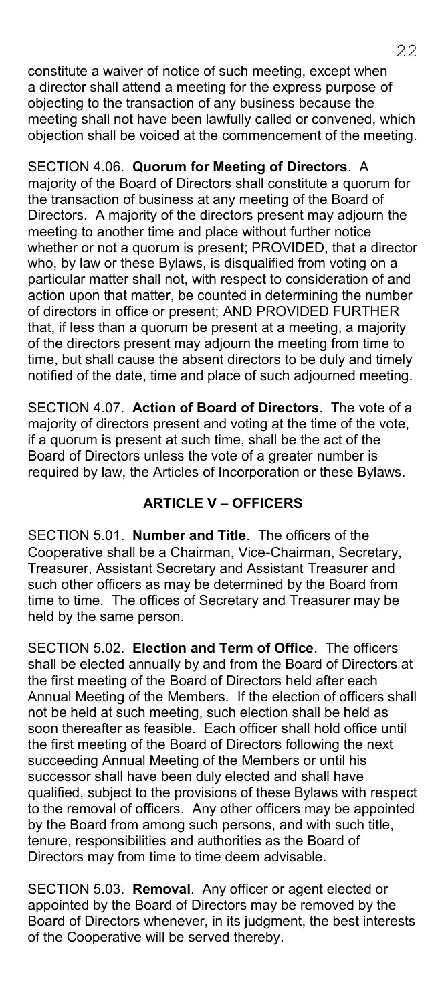constitute a waiver of notice of such meeting, except when a director shall attend a meeting for the express purpose of objecting to the transaction of any business because the meeting shall not have been lawfully called or convened, which objection shall be voiced at the commencement of the meeting.

SECTION 4.06. **Quorum for Meeting of Directors**. A majority of the Board of Directors shall constitute a quorum for the transaction of business at any meeting of the Board of Directors. A majority of the directors present may adjourn the meeting to another time and place without further notice whether or not a quorum is present; PROVIDED, that a director who, by law or these Bylaws, is disqualified from voting on a particular matter shall not, with respect to consideration of and action upon that matter, be counted in determining the number of directors in office or present; AND PROVIDED FURTHER that, if less than a quorum be present at a meeting, a majority of the directors present may adjourn the meeting from time to time, but shall cause the absent directors to be duly and timely notified of the date, time and place of such adjourned meeting.

SECTION 4.07. **Action of Board of Directors**. The vote of a majority of directors present and voting at the time of the vote, if a quorum is present at such time, shall be the act of the Board of Directors unless the vote of a greater number is required by law, the Articles of Incorporation or these Bylaws.

### **ARTICLE V – OFFICERS**

SECTION 5.01. **Number and Title**. The officers of the Cooperative shall be a Chairman, Vice-Chairman, Secretary, Treasurer, Assistant Secretary and Assistant Treasurer and such other officers as may be determined by the Board from time to time. The offices of Secretary and Treasurer may be held by the same person.

SECTION 5.02. **Election and Term of Office**. The officers shall be elected annually by and from the Board of Directors at the first meeting of the Board of Directors held after each Annual Meeting of the Members. If the election of officers shall not be held at such meeting, such election shall be held as soon thereafter as feasible. Each officer shall hold office until the first meeting of the Board of Directors following the next succeeding Annual Meeting of the Members or until his successor shall have been duly elected and shall have qualified, subject to the provisions of these Bylaws with respect to the removal of officers. Any other officers may be appointed by the Board from among such persons, and with such title, tenure, responsibilities and authorities as the Board of Directors may from time to time deem advisable.

SECTION 5.03. **Removal**. Any officer or agent elected or appointed by the Board of Directors may be removed by the Board of Directors whenever, in its judgment, the best interests of the Cooperative will be served thereby.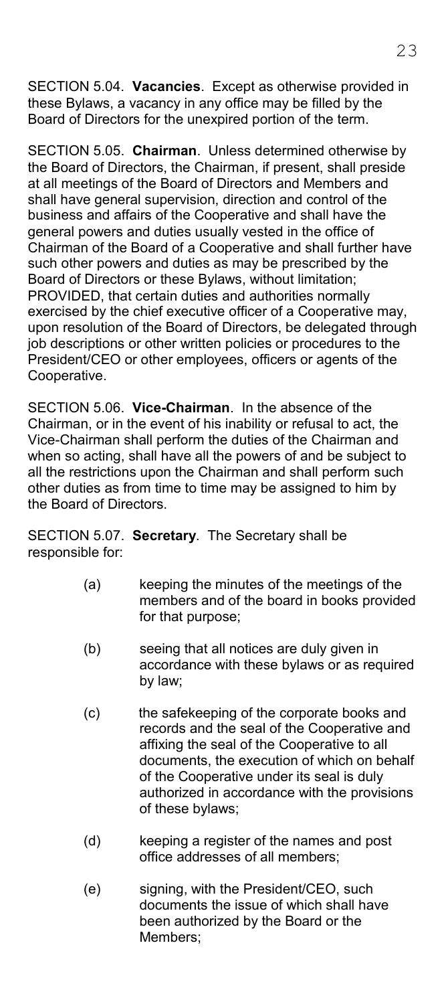SECTION 5.04. **Vacancies**. Except as otherwise provided in these Bylaws, a vacancy in any office may be filled by the Board of Directors for the unexpired portion of the term.

SECTION 5.05. **Chairman**. Unless determined otherwise by the Board of Directors, the Chairman, if present, shall preside at all meetings of the Board of Directors and Members and shall have general supervision, direction and control of the business and affairs of the Cooperative and shall have the general powers and duties usually vested in the office of Chairman of the Board of a Cooperative and shall further have such other powers and duties as may be prescribed by the Board of Directors or these Bylaws, without limitation; PROVIDED, that certain duties and authorities normally exercised by the chief executive officer of a Cooperative may, upon resolution of the Board of Directors, be delegated through job descriptions or other written policies or procedures to the President/CEO or other employees, officers or agents of the Cooperative.

SECTION 5.06. **Vice-Chairman**. In the absence of the Chairman, or in the event of his inability or refusal to act, the Vice-Chairman shall perform the duties of the Chairman and when so acting, shall have all the powers of and be subject to all the restrictions upon the Chairman and shall perform such other duties as from time to time may be assigned to him by the Board of Directors.

SECTION 5.07. **Secretary**. The Secretary shall be responsible for:

- (a) keeping the minutes of the meetings of the members and of the board in books provided for that purpose;
- (b) seeing that all notices are duly given in accordance with these bylaws or as required by law;
- (c) the safekeeping of the corporate books and records and the seal of the Cooperative and affixing the seal of the Cooperative to all documents, the execution of which on behalf of the Cooperative under its seal is duly authorized in accordance with the provisions of these bylaws;
- (d) keeping a register of the names and post office addresses of all members;
- (e) signing, with the President/CEO, such documents the issue of which shall have been authorized by the Board or the Members;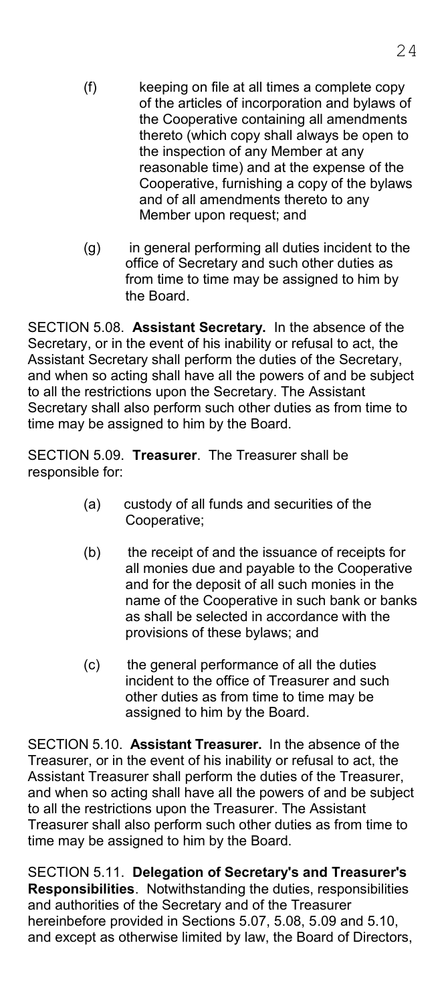- (f) keeping on file at all times a complete copy of the articles of incorporation and bylaws of the Cooperative containing all amendments thereto (which copy shall always be open to the inspection of any Member at any reasonable time) and at the expense of the Cooperative, furnishing a copy of the bylaws and of all amendments thereto to any Member upon request; and
- (g) in general performing all duties incident to the office of Secretary and such other duties as from time to time may be assigned to him by the Board.

SECTION 5.08. **Assistant Secretary.** In the absence of the Secretary, or in the event of his inability or refusal to act, the Assistant Secretary shall perform the duties of the Secretary, and when so acting shall have all the powers of and be subject to all the restrictions upon the Secretary. The Assistant Secretary shall also perform such other duties as from time to time may be assigned to him by the Board.

SECTION 5.09. **Treasurer**. The Treasurer shall be responsible for:

- (a) custody of all funds and securities of the Cooperative;
- (b) the receipt of and the issuance of receipts for all monies due and payable to the Cooperative and for the deposit of all such monies in the name of the Cooperative in such bank or banks as shall be selected in accordance with the provisions of these bylaws; and
- (c) the general performance of all the duties incident to the office of Treasurer and such other duties as from time to time may be assigned to him by the Board.

SECTION 5.10. **Assistant Treasurer.** In the absence of the Treasurer, or in the event of his inability or refusal to act, the Assistant Treasurer shall perform the duties of the Treasurer, and when so acting shall have all the powers of and be subject to all the restrictions upon the Treasurer. The Assistant Treasurer shall also perform such other duties as from time to time may be assigned to him by the Board.

SECTION 5.11. **Delegation of Secretary's and Treasurer's Responsibilities**. Notwithstanding the duties, responsibilities and authorities of the Secretary and of the Treasurer hereinbefore provided in Sections 5.07, 5.08, 5.09 and 5.10, and except as otherwise limited by law, the Board of Directors,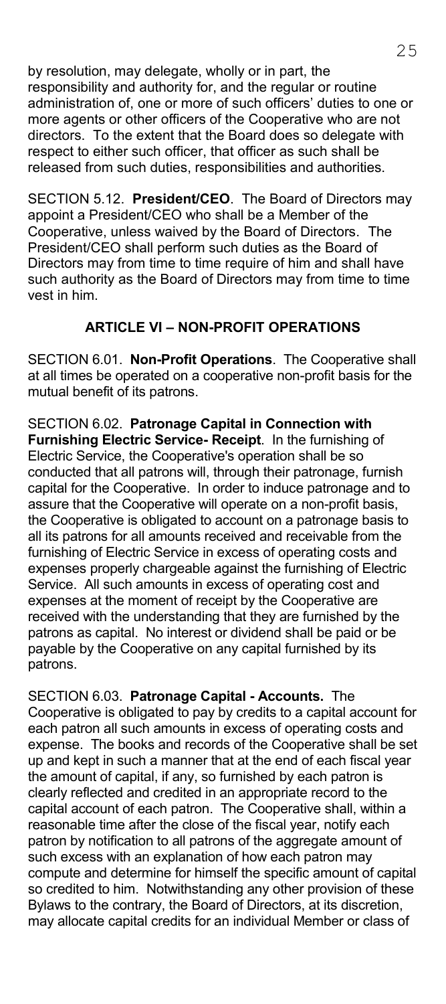by resolution, may delegate, wholly or in part, the responsibility and authority for, and the regular or routine administration of, one or more of such officers' duties to one or more agents or other officers of the Cooperative who are not directors. To the extent that the Board does so delegate with respect to either such officer, that officer as such shall be released from such duties, responsibilities and authorities.

SECTION 5.12. **President/CEO**. The Board of Directors may appoint a President/CEO who shall be a Member of the Cooperative, unless waived by the Board of Directors. The President/CEO shall perform such duties as the Board of Directors may from time to time require of him and shall have such authority as the Board of Directors may from time to time vest in him.

#### **ARTICLE VI – NON-PROFIT OPERATIONS**

SECTION 6.01. **Non-Profit Operations**. The Cooperative shall at all times be operated on a cooperative non-profit basis for the mutual benefit of its patrons.

SECTION 6.02. **Patronage Capital in Connection with Furnishing Electric Service- Receipt**. In the furnishing of Electric Service, the Cooperative's operation shall be so conducted that all patrons will, through their patronage, furnish capital for the Cooperative. In order to induce patronage and to assure that the Cooperative will operate on a non-profit basis, the Cooperative is obligated to account on a patronage basis to all its patrons for all amounts received and receivable from the furnishing of Electric Service in excess of operating costs and expenses properly chargeable against the furnishing of Electric Service. All such amounts in excess of operating cost and expenses at the moment of receipt by the Cooperative are received with the understanding that they are furnished by the patrons as capital. No interest or dividend shall be paid or be payable by the Cooperative on any capital furnished by its patrons.

SECTION 6.03. **Patronage Capital - Accounts.** The Cooperative is obligated to pay by credits to a capital account for each patron all such amounts in excess of operating costs and expense. The books and records of the Cooperative shall be set up and kept in such a manner that at the end of each fiscal year the amount of capital, if any, so furnished by each patron is clearly reflected and credited in an appropriate record to the capital account of each patron. The Cooperative shall, within a reasonable time after the close of the fiscal year, notify each patron by notification to all patrons of the aggregate amount of such excess with an explanation of how each patron may compute and determine for himself the specific amount of capital so credited to him. Notwithstanding any other provision of these Bylaws to the contrary, the Board of Directors, at its discretion, may allocate capital credits for an individual Member or class of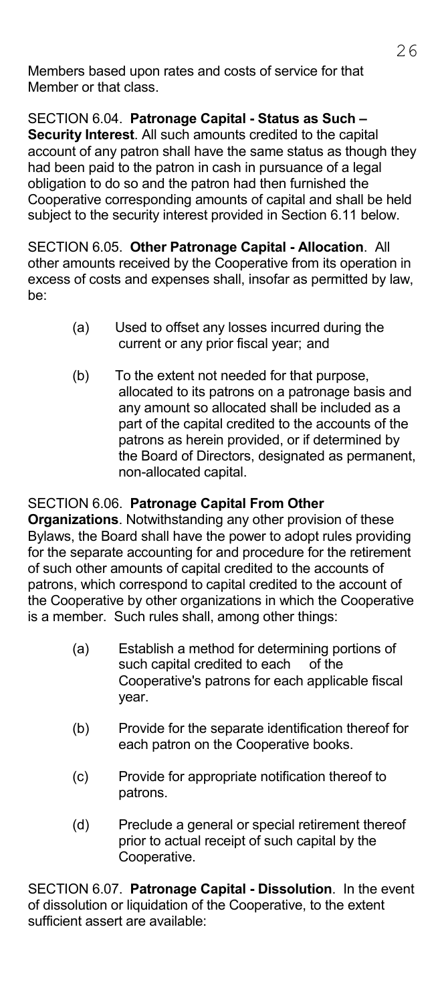Members based upon rates and costs of service for that Member or that class.

SECTION 6.04. **Patronage Capital - Status as Such – Security Interest**. All such amounts credited to the capital account of any patron shall have the same status as though they had been paid to the patron in cash in pursuance of a legal obligation to do so and the patron had then furnished the Cooperative corresponding amounts of capital and shall be held subject to the security interest provided in Section 6.11 below.

SECTION 6.05. **Other Patronage Capital - Allocation**. All other amounts received by the Cooperative from its operation in excess of costs and expenses shall, insofar as permitted by law, be:

- (a) Used to offset any losses incurred during the current or any prior fiscal year; and
- (b) To the extent not needed for that purpose, allocated to its patrons on a patronage basis and any amount so allocated shall be included as a part of the capital credited to the accounts of the patrons as herein provided, or if determined by the Board of Directors, designated as permanent, non-allocated capital.

### SECTION 6.06. **Patronage Capital From Other**

**Organizations**. Notwithstanding any other provision of these Bylaws, the Board shall have the power to adopt rules providing for the separate accounting for and procedure for the retirement of such other amounts of capital credited to the accounts of patrons, which correspond to capital credited to the account of the Cooperative by other organizations in which the Cooperative is a member. Such rules shall, among other things:

- (a) Establish a method for determining portions of such capital credited to each of the Cooperative's patrons for each applicable fiscal year.
- (b) Provide for the separate identification thereof for each patron on the Cooperative books.
- (c) Provide for appropriate notification thereof to patrons.
- (d) Preclude a general or special retirement thereof prior to actual receipt of such capital by the Cooperative.

SECTION 6.07. **Patronage Capital - Dissolution**. In the event of dissolution or liquidation of the Cooperative, to the extent sufficient assert are available: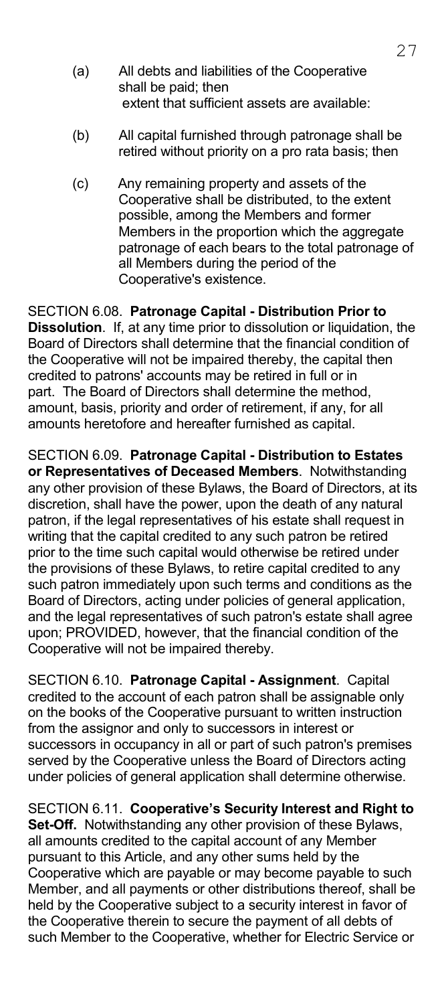- (a) All debts and liabilities of the Cooperative shall be paid; then extent that sufficient assets are available:
- (b) All capital furnished through patronage shall be retired without priority on a pro rata basis; then
- (c) Any remaining property and assets of the Cooperative shall be distributed, to the extent possible, among the Members and former Members in the proportion which the aggregate patronage of each bears to the total patronage of all Members during the period of the Cooperative's existence.

SECTION 6.08. **Patronage Capital - Distribution Prior to Dissolution**. If, at any time prior to dissolution or liquidation, the Board of Directors shall determine that the financial condition of the Cooperative will not be impaired thereby, the capital then credited to patrons' accounts may be retired in full or in part. The Board of Directors shall determine the method, amount, basis, priority and order of retirement, if any, for all amounts heretofore and hereafter furnished as capital.

SECTION 6.09. **Patronage Capital - Distribution to Estates or Representatives of Deceased Members**. Notwithstanding any other provision of these Bylaws, the Board of Directors, at its discretion, shall have the power, upon the death of any natural patron, if the legal representatives of his estate shall request in writing that the capital credited to any such patron be retired prior to the time such capital would otherwise be retired under the provisions of these Bylaws, to retire capital credited to any such patron immediately upon such terms and conditions as the Board of Directors, acting under policies of general application, and the legal representatives of such patron's estate shall agree upon; PROVIDED, however, that the financial condition of the Cooperative will not be impaired thereby.

SECTION 6.10. **Patronage Capital - Assignment**. Capital credited to the account of each patron shall be assignable only on the books of the Cooperative pursuant to written instruction from the assignor and only to successors in interest or successors in occupancy in all or part of such patron's premises served by the Cooperative unless the Board of Directors acting under policies of general application shall determine otherwise.

SECTION 6.11. **Cooperative's Security Interest and Right to Set-Off.** Notwithstanding any other provision of these Bylaws, all amounts credited to the capital account of any Member pursuant to this Article, and any other sums held by the Cooperative which are payable or may become payable to such Member, and all payments or other distributions thereof, shall be held by the Cooperative subject to a security interest in favor of the Cooperative therein to secure the payment of all debts of such Member to the Cooperative, whether for Electric Service or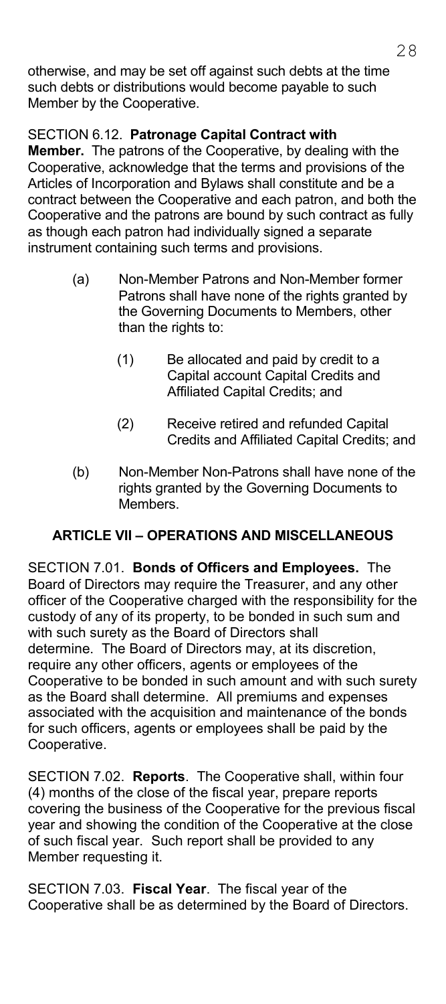otherwise, and may be set off against such debts at the time such debts or distributions would become payable to such Member by the Cooperative.

### SECTION 6.12. **Patronage Capital Contract with**

**Member.** The patrons of the Cooperative, by dealing with the Cooperative, acknowledge that the terms and provisions of the Articles of Incorporation and Bylaws shall constitute and be a contract between the Cooperative and each patron, and both the Cooperative and the patrons are bound by such contract as fully as though each patron had individually signed a separate instrument containing such terms and provisions.

- (a) Non-Member Patrons and Non-Member former Patrons shall have none of the rights granted by the Governing Documents to Members, other than the rights to:
	- (1) Be allocated and paid by credit to a Capital account Capital Credits and Affiliated Capital Credits; and
	- (2) Receive retired and refunded Capital Credits and Affiliated Capital Credits; and
- (b) Non-Member Non-Patrons shall have none of the rights granted by the Governing Documents to Members.

### **ARTICLE VII – OPERATIONS AND MISCELLANEOUS**

SECTION 7.01. **Bonds of Officers and Employees.** The Board of Directors may require the Treasurer, and any other officer of the Cooperative charged with the responsibility for the custody of any of its property, to be bonded in such sum and with such surety as the Board of Directors shall determine. The Board of Directors may, at its discretion, require any other officers, agents or employees of the Cooperative to be bonded in such amount and with such surety as the Board shall determine. All premiums and expenses associated with the acquisition and maintenance of the bonds for such officers, agents or employees shall be paid by the Cooperative.

SECTION 7.02. **Reports**. The Cooperative shall, within four (4) months of the close of the fiscal year, prepare reports covering the business of the Cooperative for the previous fiscal year and showing the condition of the Cooperative at the close of such fiscal year. Such report shall be provided to any Member requesting it.

SECTION 7.03. **Fiscal Year**. The fiscal year of the Cooperative shall be as determined by the Board of Directors.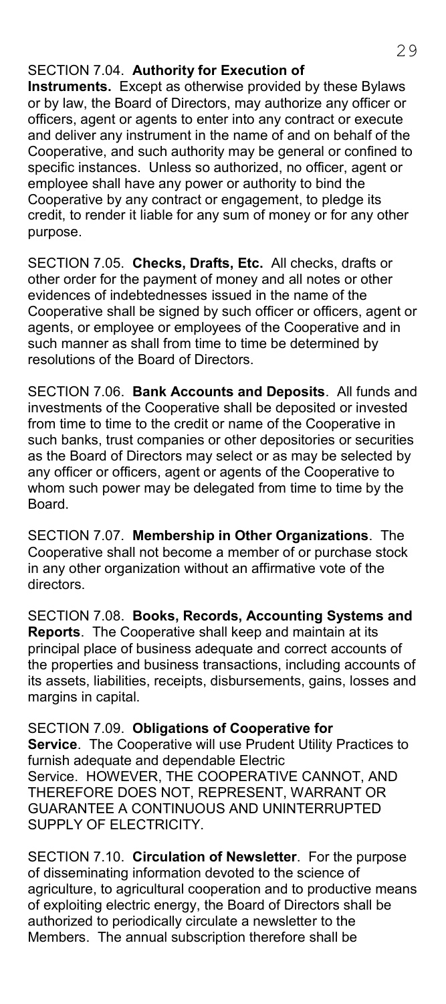#### SECTION 7.04. **Authority for Execution of**

**Instruments.** Except as otherwise provided by these Bylaws or by law, the Board of Directors, may authorize any officer or officers, agent or agents to enter into any contract or execute and deliver any instrument in the name of and on behalf of the Cooperative, and such authority may be general or confined to specific instances. Unless so authorized, no officer, agent or employee shall have any power or authority to bind the Cooperative by any contract or engagement, to pledge its credit, to render it liable for any sum of money or for any other purpose.

SECTION 7.05. **Checks, Drafts, Etc.** All checks, drafts or other order for the payment of money and all notes or other evidences of indebtednesses issued in the name of the Cooperative shall be signed by such officer or officers, agent or agents, or employee or employees of the Cooperative and in such manner as shall from time to time be determined by resolutions of the Board of Directors.

SECTION 7.06. **Bank Accounts and Deposits**. All funds and investments of the Cooperative shall be deposited or invested from time to time to the credit or name of the Cooperative in such banks, trust companies or other depositories or securities as the Board of Directors may select or as may be selected by any officer or officers, agent or agents of the Cooperative to whom such power may be delegated from time to time by the Board.

SECTION 7.07. **Membership in Other Organizations**. The Cooperative shall not become a member of or purchase stock in any other organization without an affirmative vote of the directors.

SECTION 7.08. **Books, Records, Accounting Systems and Reports**. The Cooperative shall keep and maintain at its principal place of business adequate and correct accounts of the properties and business transactions, including accounts of its assets, liabilities, receipts, disbursements, gains, losses and margins in capital.

SECTION 7.09. **Obligations of Cooperative for Service**. The Cooperative will use Prudent Utility Practices to furnish adequate and dependable Electric Service. HOWEVER, THE COOPERATIVE CANNOT, AND THEREFORE DOES NOT, REPRESENT, WARRANT OR GUARANTEE A CONTINUOUS AND UNINTERRUPTED SUPPLY OF ELECTRICITY.

SECTION 7.10. **Circulation of Newsletter**. For the purpose of disseminating information devoted to the science of agriculture, to agricultural cooperation and to productive means of exploiting electric energy, the Board of Directors shall be authorized to periodically circulate a newsletter to the Members. The annual subscription therefore shall be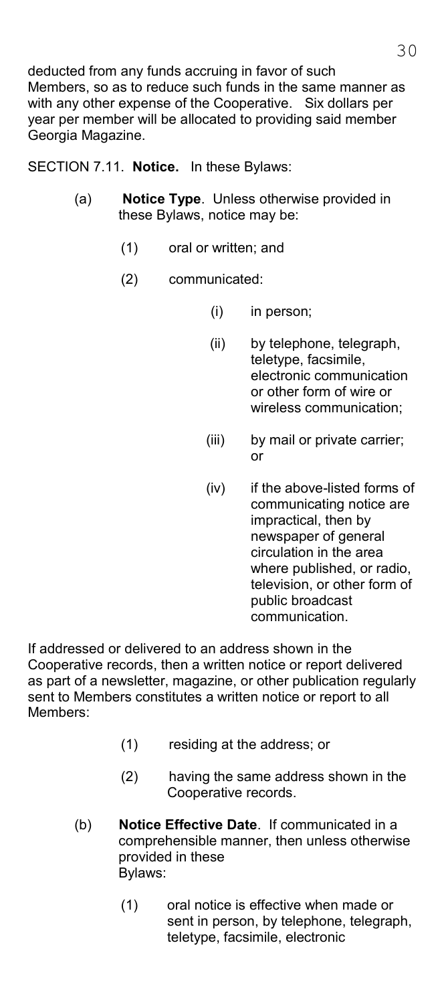deducted from any funds accruing in favor of such Members, so as to reduce such funds in the same manner as with any other expense of the Cooperative. Six dollars per year per member will be allocated to providing said member Georgia Magazine.

SECTION 7.11. **Notice.** In these Bylaws:

- (a) **Notice Type**. Unless otherwise provided in these Bylaws, notice may be:
	- (1) oral or written; and
	- (2) communicated:
		- (i) in person;
		- (ii) by telephone, telegraph, teletype, facsimile, electronic communication or other form of wire or wireless communication;
		- (iii) by mail or private carrier; or
		- (iv) if the above-listed forms of communicating notice are impractical, then by newspaper of general circulation in the area where published, or radio, television, or other form of public broadcast communication.

If addressed or delivered to an address shown in the Cooperative records, then a written notice or report delivered as part of a newsletter, magazine, or other publication regularly sent to Members constitutes a written notice or report to all Members:

- (1) residing at the address; or
- (2) having the same address shown in the Cooperative records.
- (b) **Notice Effective Date**. If communicated in a comprehensible manner, then unless otherwise provided in these Bylaws:
	- (1) oral notice is effective when made or sent in person, by telephone, telegraph, teletype, facsimile, electronic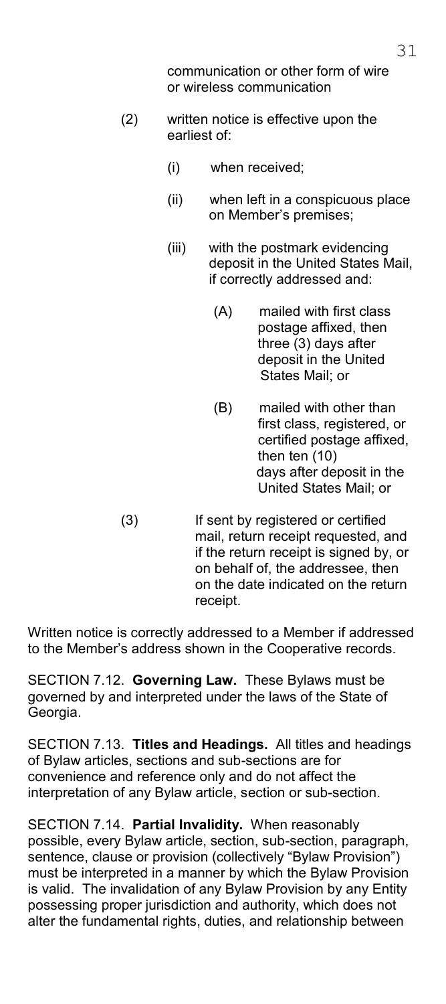communication or other form of wire or wireless communication

- (2) written notice is effective upon the earliest of:
	- (i) when received;
	- (ii) when left in a conspicuous place on Member's premises;
	- (iii) with the postmark evidencing deposit in the United States Mail, if correctly addressed and:
		- (A) mailed with first class postage affixed, then three (3) days after deposit in the United States Mail; or
		- (B) mailed with other than first class, registered, or certified postage affixed, then ten (10) days after deposit in the United States Mail; or
- (3) If sent by registered or certified mail, return receipt requested, and if the return receipt is signed by, or on behalf of, the addressee, then on the date indicated on the return receipt.

Written notice is correctly addressed to a Member if addressed to the Member's address shown in the Cooperative records.

SECTION 7.12. **Governing Law.** These Bylaws must be governed by and interpreted under the laws of the State of Georgia.

SECTION 7.13. **Titles and Headings.** All titles and headings of Bylaw articles, sections and sub-sections are for convenience and reference only and do not affect the interpretation of any Bylaw article, section or sub-section.

SECTION 7.14. **Partial Invalidity.** When reasonably possible, every Bylaw article, section, sub-section, paragraph, sentence, clause or provision (collectively "Bylaw Provision") must be interpreted in a manner by which the Bylaw Provision is valid. The invalidation of any Bylaw Provision by any Entity possessing proper jurisdiction and authority, which does not alter the fundamental rights, duties, and relationship between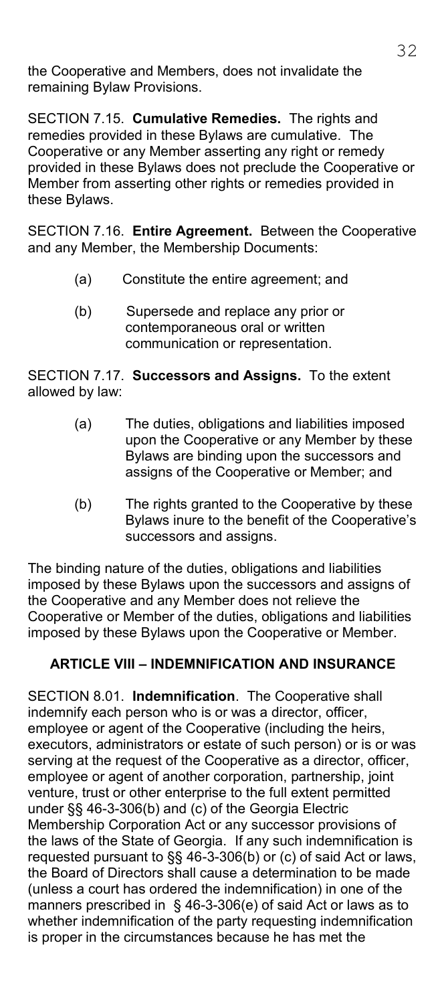the Cooperative and Members, does not invalidate the remaining Bylaw Provisions.

SECTION 7.15. **Cumulative Remedies.** The rights and remedies provided in these Bylaws are cumulative. The Cooperative or any Member asserting any right or remedy provided in these Bylaws does not preclude the Cooperative or Member from asserting other rights or remedies provided in these Bylaws.

SECTION 7.16. **Entire Agreement.** Between the Cooperative and any Member, the Membership Documents:

- (a) Constitute the entire agreement; and
- (b) Supersede and replace any prior or contemporaneous oral or written communication or representation.

SECTION 7.17. **Successors and Assigns.** To the extent allowed by law:

- (a) The duties, obligations and liabilities imposed upon the Cooperative or any Member by these Bylaws are binding upon the successors and assigns of the Cooperative or Member; and
- (b) The rights granted to the Cooperative by these Bylaws inure to the benefit of the Cooperative's successors and assigns.

The binding nature of the duties, obligations and liabilities imposed by these Bylaws upon the successors and assigns of the Cooperative and any Member does not relieve the Cooperative or Member of the duties, obligations and liabilities imposed by these Bylaws upon the Cooperative or Member.

# **ARTICLE VIII – INDEMNIFICATION AND INSURANCE**

SECTION 8.01. **Indemnification**. The Cooperative shall indemnify each person who is or was a director, officer, employee or agent of the Cooperative (including the heirs, executors, administrators or estate of such person) or is or was serving at the request of the Cooperative as a director, officer, employee or agent of another corporation, partnership, joint venture, trust or other enterprise to the full extent permitted under §§ 46-3-306(b) and (c) of the Georgia Electric Membership Corporation Act or any successor provisions of the laws of the State of Georgia. If any such indemnification is requested pursuant to §§ 46-3-306(b) or (c) of said Act or laws, the Board of Directors shall cause a determination to be made (unless a court has ordered the indemnification) in one of the manners prescribed in § 46-3-306(e) of said Act or laws as to whether indemnification of the party requesting indemnification is proper in the circumstances because he has met the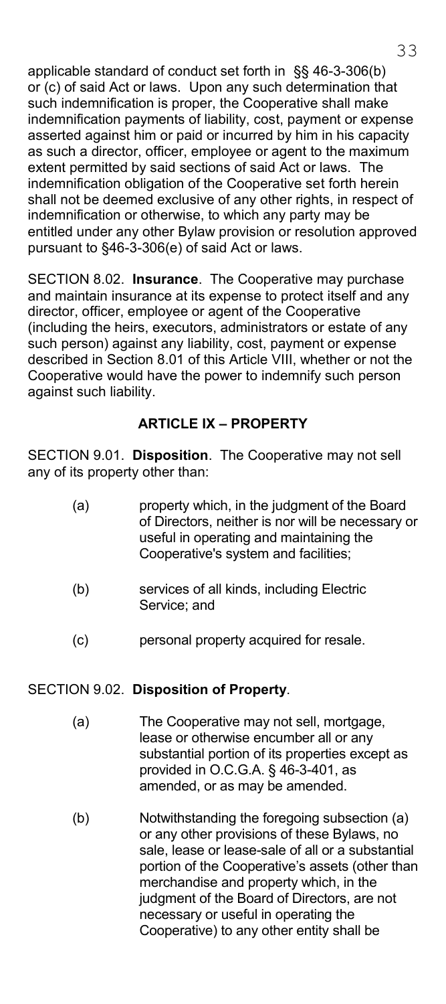applicable standard of conduct set forth in §§ 46-3-306(b) or (c) of said Act or laws. Upon any such determination that such indemnification is proper, the Cooperative shall make indemnification payments of liability, cost, payment or expense asserted against him or paid or incurred by him in his capacity as such a director, officer, employee or agent to the maximum extent permitted by said sections of said Act or laws. The indemnification obligation of the Cooperative set forth herein shall not be deemed exclusive of any other rights, in respect of indemnification or otherwise, to which any party may be entitled under any other Bylaw provision or resolution approved pursuant to §46-3-306(e) of said Act or laws.

SECTION 8.02. **Insurance**. The Cooperative may purchase and maintain insurance at its expense to protect itself and any director, officer, employee or agent of the Cooperative (including the heirs, executors, administrators or estate of any such person) against any liability, cost, payment or expense described in Section 8.01 of this Article VIII, whether or not the Cooperative would have the power to indemnify such person against such liability.

### **ARTICLE IX – PROPERTY**

SECTION 9.01. **Disposition**. The Cooperative may not sell any of its property other than:

| (a) | property which, in the judgment of the Board<br>of Directors, neither is nor will be necessary or |
|-----|---------------------------------------------------------------------------------------------------|
|     | useful in operating and maintaining the                                                           |
|     | Cooperative's system and facilities:                                                              |

- (b) services of all kinds, including Electric Service; and
- (c) personal property acquired for resale.

#### SECTION 9.02. **Disposition of Property**.

- (a) The Cooperative may not sell, mortgage, lease or otherwise encumber all or any substantial portion of its properties except as provided in O.C.G.A. § 46-3-401, as amended, or as may be amended.
- (b) Notwithstanding the foregoing subsection (a) or any other provisions of these Bylaws, no sale, lease or lease-sale of all or a substantial portion of the Cooperative's assets (other than merchandise and property which, in the judgment of the Board of Directors, are not necessary or useful in operating the Cooperative) to any other entity shall be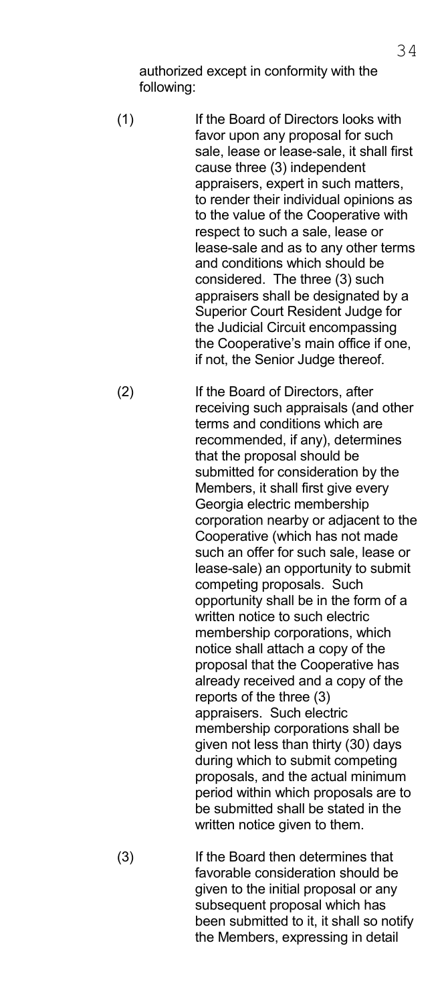authorized except in conformity with the following:

 (1) If the Board of Directors looks with favor upon any proposal for such sale, lease or lease-sale, it shall first cause three (3) independent appraisers, expert in such matters, to render their individual opinions as to the value of the Cooperative with respect to such a sale, lease or lease-sale and as to any other terms and conditions which should be considered. The three (3) such appraisers shall be designated by a Superior Court Resident Judge for the Judicial Circuit encompassing the Cooperative's main office if one, if not, the Senior Judge thereof.

 (2) If the Board of Directors, after receiving such appraisals (and other terms and conditions which are recommended, if any), determines that the proposal should be submitted for consideration by the Members, it shall first give every Georgia electric membership corporation nearby or adjacent to the Cooperative (which has not made such an offer for such sale, lease or lease-sale) an opportunity to submit competing proposals. Such opportunity shall be in the form of a written notice to such electric membership corporations, which notice shall attach a copy of the proposal that the Cooperative has already received and a copy of the reports of the three (3) appraisers. Such electric membership corporations shall be given not less than thirty (30) days during which to submit competing proposals, and the actual minimum period within which proposals are to be submitted shall be stated in the written notice given to them.

 (3) If the Board then determines that favorable consideration should be given to the initial proposal or any subsequent proposal which has been submitted to it, it shall so notify the Members, expressing in detail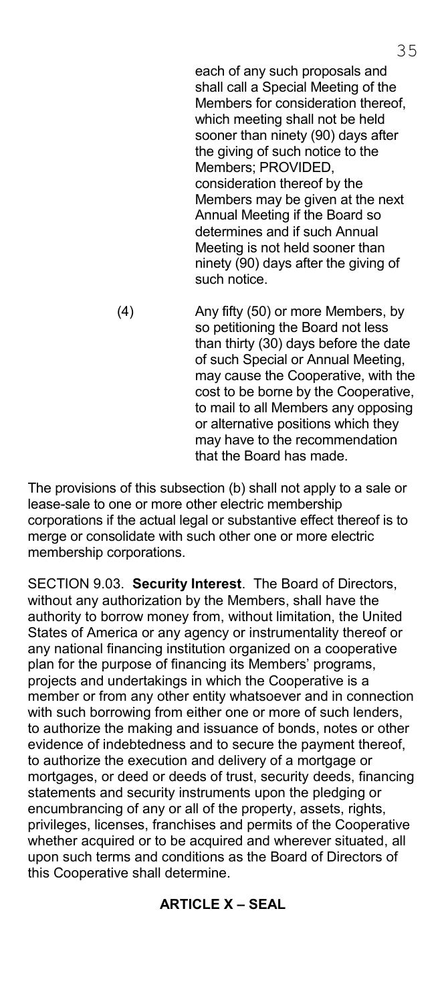each of any such proposals and shall call a Special Meeting of the Members for consideration thereof, which meeting shall not be held sooner than ninety (90) days after the giving of such notice to the Members; PROVIDED, consideration thereof by the Members may be given at the next Annual Meeting if the Board so determines and if such Annual Meeting is not held sooner than ninety (90) days after the giving of such notice.

 (4) Any fifty (50) or more Members, by so petitioning the Board not less than thirty (30) days before the date of such Special or Annual Meeting, may cause the Cooperative, with the cost to be borne by the Cooperative, to mail to all Members any opposing or alternative positions which they may have to the recommendation that the Board has made.

The provisions of this subsection (b) shall not apply to a sale or lease-sale to one or more other electric membership corporations if the actual legal or substantive effect thereof is to merge or consolidate with such other one or more electric membership corporations.

SECTION 9.03. **Security Interest**. The Board of Directors, without any authorization by the Members, shall have the authority to borrow money from, without limitation, the United States of America or any agency or instrumentality thereof or any national financing institution organized on a cooperative plan for the purpose of financing its Members' programs, projects and undertakings in which the Cooperative is a member or from any other entity whatsoever and in connection with such borrowing from either one or more of such lenders, to authorize the making and issuance of bonds, notes or other evidence of indebtedness and to secure the payment thereof, to authorize the execution and delivery of a mortgage or mortgages, or deed or deeds of trust, security deeds, financing statements and security instruments upon the pledging or encumbrancing of any or all of the property, assets, rights, privileges, licenses, franchises and permits of the Cooperative whether acquired or to be acquired and wherever situated, all upon such terms and conditions as the Board of Directors of this Cooperative shall determine.

**ARTICLE X – SEAL**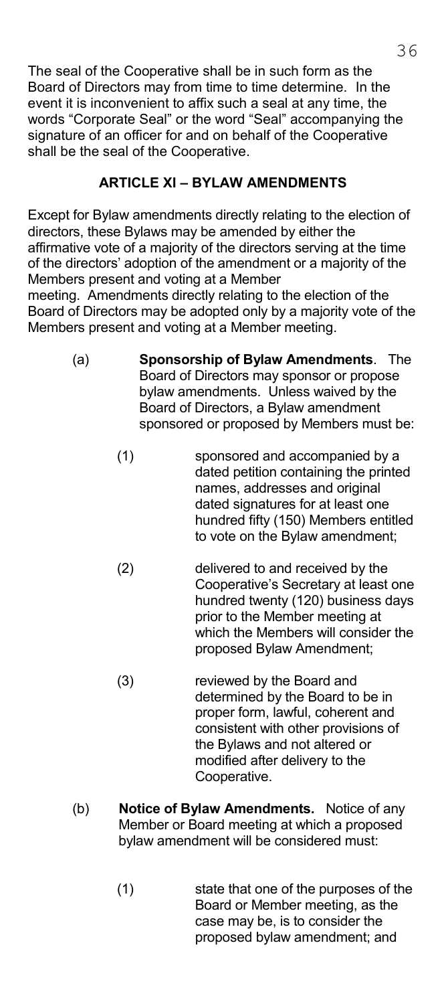The seal of the Cooperative shall be in such form as the Board of Directors may from time to time determine. In the event it is inconvenient to affix such a seal at any time, the words "Corporate Seal" or the word "Seal" accompanying the signature of an officer for and on behalf of the Cooperative shall be the seal of the Cooperative.

# **ARTICLE XI – BYLAW AMENDMENTS**

Except for Bylaw amendments directly relating to the election of directors, these Bylaws may be amended by either the affirmative vote of a majority of the directors serving at the time of the directors' adoption of the amendment or a majority of the Members present and voting at a Member

meeting. Amendments directly relating to the election of the Board of Directors may be adopted only by a majority vote of the Members present and voting at a Member meeting.

- (a) **Sponsorship of Bylaw Amendments**. The Board of Directors may sponsor or propose bylaw amendments. Unless waived by the Board of Directors, a Bylaw amendment sponsored or proposed by Members must be:
	- (1) sponsored and accompanied by a dated petition containing the printed names, addresses and original dated signatures for at least one hundred fifty (150) Members entitled to vote on the Bylaw amendment;
	- (2) delivered to and received by the Cooperative's Secretary at least one hundred twenty (120) business days prior to the Member meeting at which the Members will consider the proposed Bylaw Amendment;
	- (3) reviewed by the Board and determined by the Board to be in proper form, lawful, coherent and consistent with other provisions of the Bylaws and not altered or modified after delivery to the Cooperative.
- (b) **Notice of Bylaw Amendments.** Notice of any Member or Board meeting at which a proposed bylaw amendment will be considered must:
	- (1) state that one of the purposes of the Board or Member meeting, as the case may be, is to consider the proposed bylaw amendment; and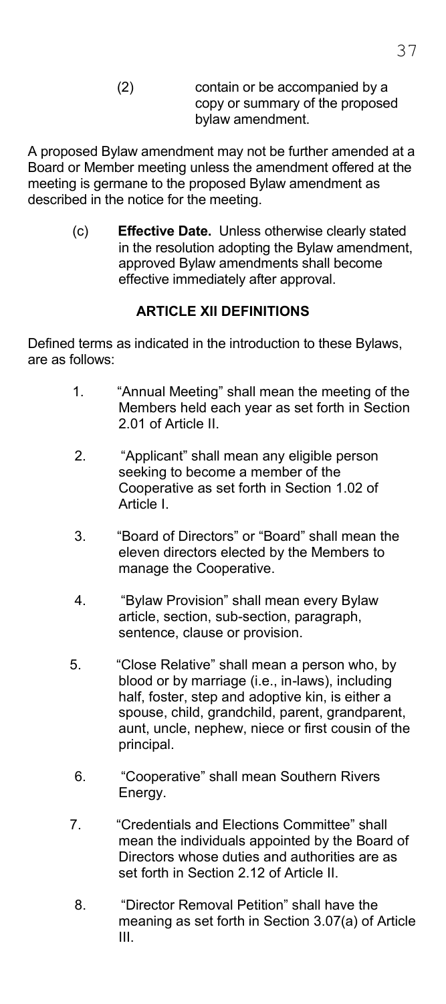(2) contain or be accompanied by a copy or summary of the proposed bylaw amendment.

A proposed Bylaw amendment may not be further amended at a Board or Member meeting unless the amendment offered at the meeting is germane to the proposed Bylaw amendment as described in the notice for the meeting.

> (c) **Effective Date.** Unless otherwise clearly stated in the resolution adopting the Bylaw amendment, approved Bylaw amendments shall become effective immediately after approval.

## **ARTICLE XII DEFINITIONS**

Defined terms as indicated in the introduction to these Bylaws, are as follows:

- 1. "Annual Meeting" shall mean the meeting of the Members held each year as set forth in Section 2.01 of Article II.
- 2. "Applicant" shall mean any eligible person seeking to become a member of the Cooperative as set forth in Section 1.02 of Article I.
- 3. "Board of Directors" or "Board" shall mean the eleven directors elected by the Members to manage the Cooperative.
- 4. "Bylaw Provision" shall mean every Bylaw article, section, sub-section, paragraph, sentence, clause or provision.
- 5. "Close Relative" shall mean a person who, by blood or by marriage (i.e., in-laws), including half, foster, step and adoptive kin, is either a spouse, child, grandchild, parent, grandparent, aunt, uncle, nephew, niece or first cousin of the principal.
- 6. "Cooperative" shall mean Southern Rivers Energy.
- 7. "Credentials and Elections Committee" shall mean the individuals appointed by the Board of Directors whose duties and authorities are as set forth in Section 2.12 of Article II.
- 8. "Director Removal Petition" shall have the meaning as set forth in Section 3.07(a) of Article III.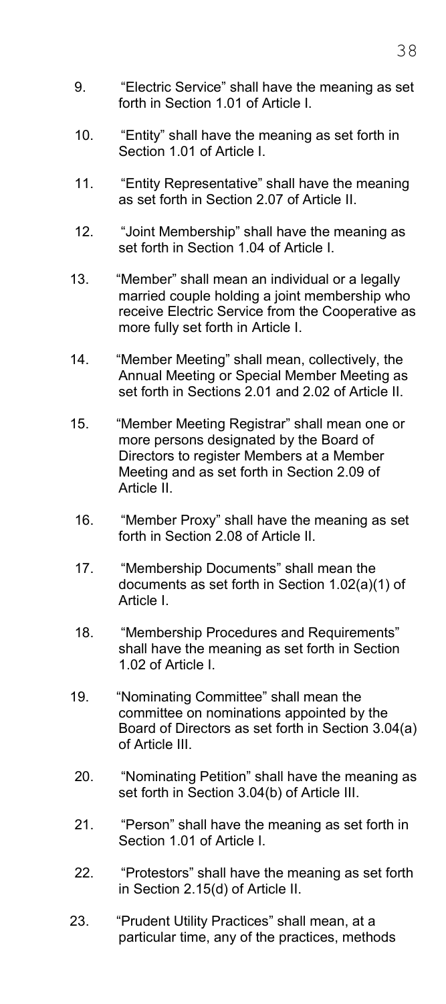- 9. "Electric Service" shall have the meaning as set forth in Section 1.01 of Article I.
- 10. "Entity" shall have the meaning as set forth in Section 1.01 of Article I.
- 11. "Entity Representative" shall have the meaning as set forth in Section 2.07 of Article II.
- 12. "Joint Membership" shall have the meaning as set forth in Section 1.04 of Article I.
- 13. "Member" shall mean an individual or a legally married couple holding a joint membership who receive Electric Service from the Cooperative as more fully set forth in Article I.
- 14. "Member Meeting" shall mean, collectively, the Annual Meeting or Special Member Meeting as set forth in Sections 2.01 and 2.02 of Article II.
- 15. "Member Meeting Registrar" shall mean one or more persons designated by the Board of Directors to register Members at a Member Meeting and as set forth in Section 2.09 of Article II.
	- 16. "Member Proxy" shall have the meaning as set forth in Section 2.08 of Article II.
- 17. "Membership Documents" shall mean the documents as set forth in Section 1.02(a)(1) of Article I.
- 18. "Membership Procedures and Requirements" shall have the meaning as set forth in Section 1.02 of Article I.
- 19. "Nominating Committee" shall mean the committee on nominations appointed by the Board of Directors as set forth in Section 3.04(a) of Article III.
- 20. "Nominating Petition" shall have the meaning as set forth in Section 3.04(b) of Article III.
- 21. "Person" shall have the meaning as set forth in Section 1.01 of Article I.
- 22. "Protestors" shall have the meaning as set forth in Section 2.15(d) of Article II.
- 23. "Prudent Utility Practices" shall mean, at a particular time, any of the practices, methods